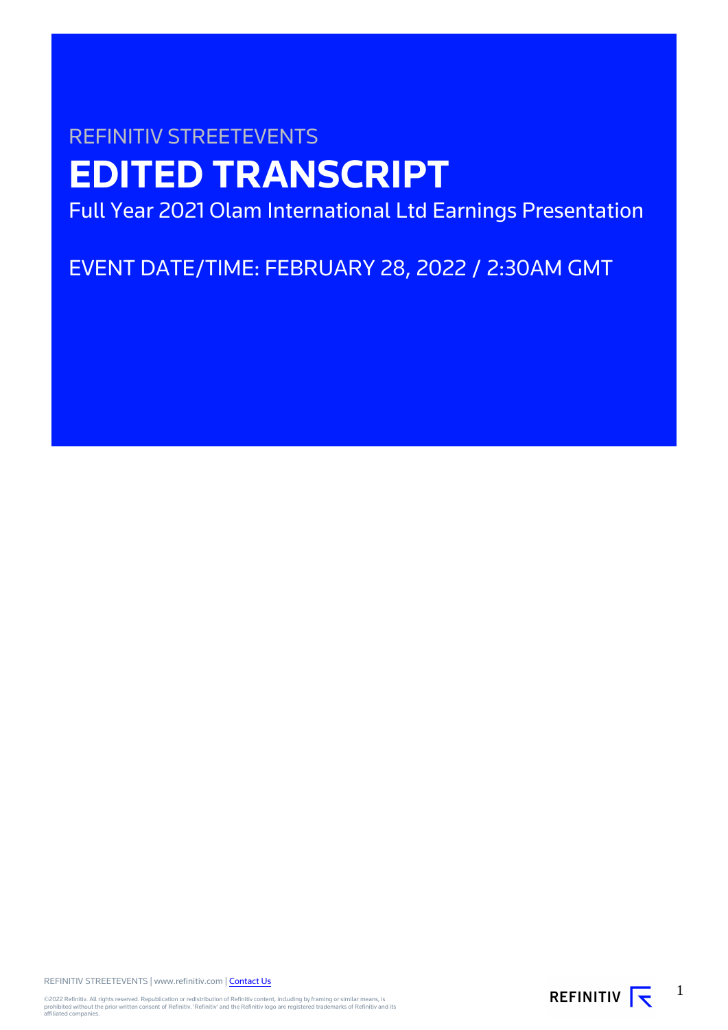# REFINITIV STREETEVENTS **EDITED TRANSCRIPT**

Full Year 2021 Olam International Ltd Earnings Presentation

EVENT DATE/TIME: FEBRUARY 28, 2022 / 2:30AM GMT

REFINITIV STREETEVENTS | www.refinitiv.com | [Contact Us](https://www.refinitiv.com/en/contact-us)

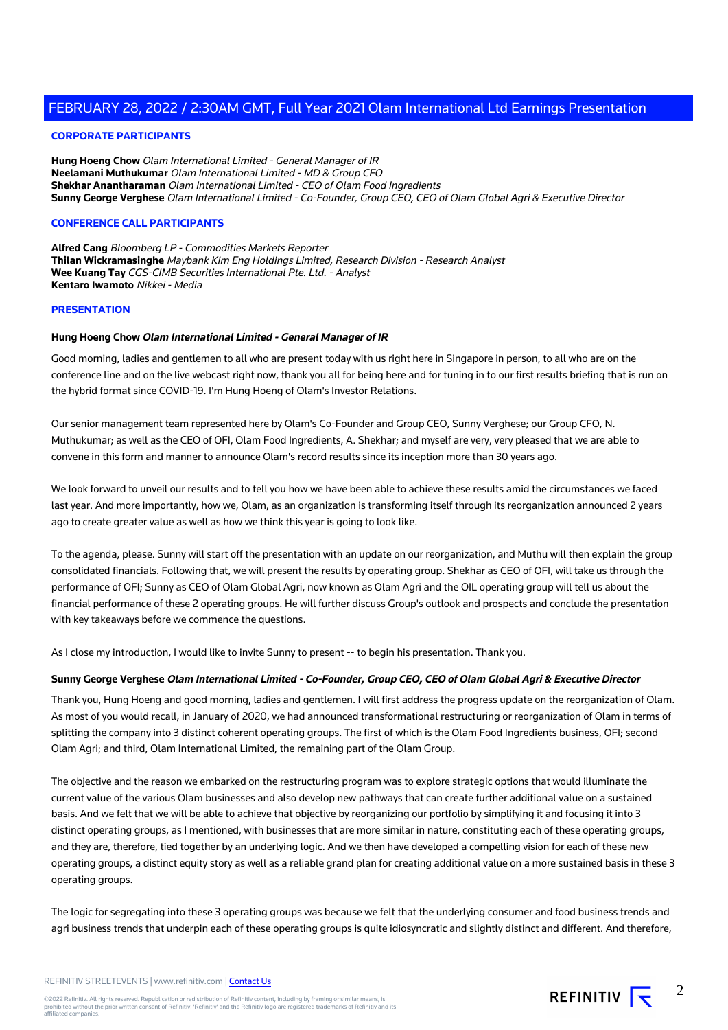#### **CORPORATE PARTICIPANTS**

**Hung Hoeng Chow** Olam International Limited - General Manager of IR **Neelamani Muthukumar** Olam International Limited - MD & Group CFO **Shekhar Anantharaman** Olam International Limited - CEO of Olam Food Ingredients **Sunny George Verghese** Olam International Limited - Co-Founder, Group CEO, CEO of Olam Global Agri & Executive Director

#### **CONFERENCE CALL PARTICIPANTS**

**Alfred Cang** Bloomberg LP - Commodities Markets Reporter **Thilan Wickramasinghe** Maybank Kim Eng Holdings Limited, Research Division - Research Analyst **Wee Kuang Tay** CGS-CIMB Securities International Pte. Ltd. - Analyst **Kentaro Iwamoto** Nikkei - Media

#### **PRESENTATION**

#### **Hung Hoeng Chow Olam International Limited - General Manager of IR**

Good morning, ladies and gentlemen to all who are present today with us right here in Singapore in person, to all who are on the conference line and on the live webcast right now, thank you all for being here and for tuning in to our first results briefing that is run on the hybrid format since COVID-19. I'm Hung Hoeng of Olam's Investor Relations.

Our senior management team represented here by Olam's Co-Founder and Group CEO, Sunny Verghese; our Group CFO, N. Muthukumar; as well as the CEO of OFI, Olam Food Ingredients, A. Shekhar; and myself are very, very pleased that we are able to convene in this form and manner to announce Olam's record results since its inception more than 30 years ago.

We look forward to unveil our results and to tell you how we have been able to achieve these results amid the circumstances we faced last year. And more importantly, how we, Olam, as an organization is transforming itself through its reorganization announced 2 years ago to create greater value as well as how we think this year is going to look like.

To the agenda, please. Sunny will start off the presentation with an update on our reorganization, and Muthu will then explain the group consolidated financials. Following that, we will present the results by operating group. Shekhar as CEO of OFI, will take us through the performance of OFI; Sunny as CEO of Olam Global Agri, now known as Olam Agri and the OIL operating group will tell us about the financial performance of these 2 operating groups. He will further discuss Group's outlook and prospects and conclude the presentation with key takeaways before we commence the questions.

As I close my introduction, I would like to invite Sunny to present -- to begin his presentation. Thank you.

#### **Sunny George Verghese Olam International Limited - Co-Founder, Group CEO, CEO of Olam Global Agri & Executive Director**

Thank you, Hung Hoeng and good morning, ladies and gentlemen. I will first address the progress update on the reorganization of Olam. As most of you would recall, in January of 2020, we had announced transformational restructuring or reorganization of Olam in terms of splitting the company into 3 distinct coherent operating groups. The first of which is the Olam Food Ingredients business, OFI; second Olam Agri; and third, Olam International Limited, the remaining part of the Olam Group.

The objective and the reason we embarked on the restructuring program was to explore strategic options that would illuminate the current value of the various Olam businesses and also develop new pathways that can create further additional value on a sustained basis. And we felt that we will be able to achieve that objective by reorganizing our portfolio by simplifying it and focusing it into 3 distinct operating groups, as I mentioned, with businesses that are more similar in nature, constituting each of these operating groups, and they are, therefore, tied together by an underlying logic. And we then have developed a compelling vision for each of these new operating groups, a distinct equity story as well as a reliable grand plan for creating additional value on a more sustained basis in these 3 operating groups.

The logic for segregating into these 3 operating groups was because we felt that the underlying consumer and food business trends and agri business trends that underpin each of these operating groups is quite idiosyncratic and slightly distinct and different. And therefore,

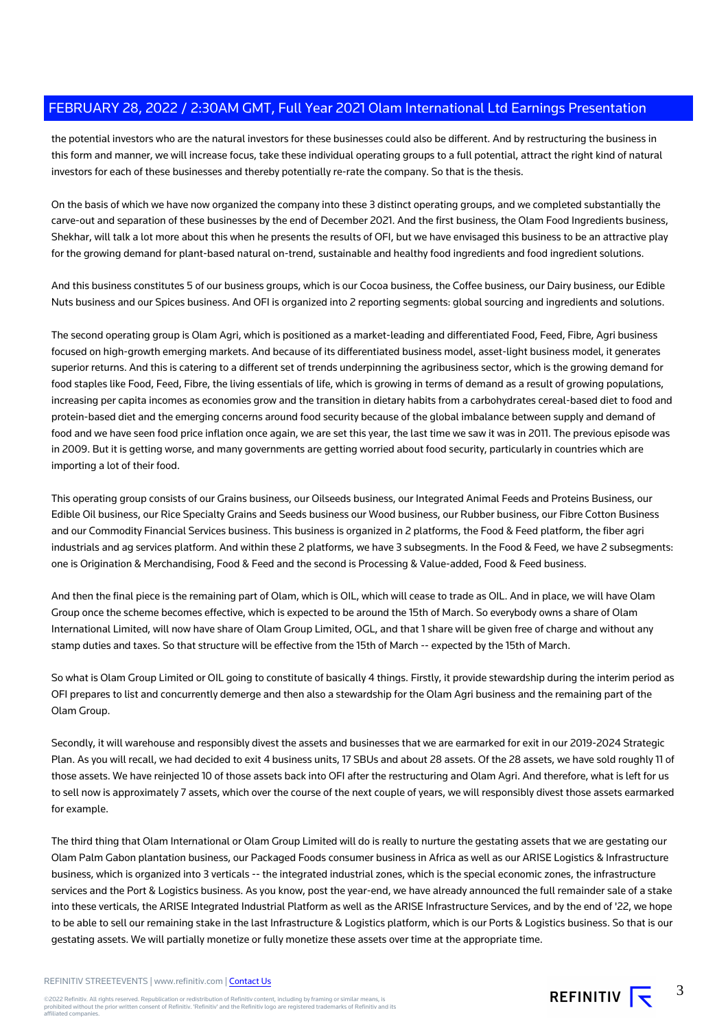the potential investors who are the natural investors for these businesses could also be different. And by restructuring the business in this form and manner, we will increase focus, take these individual operating groups to a full potential, attract the right kind of natural investors for each of these businesses and thereby potentially re-rate the company. So that is the thesis.

On the basis of which we have now organized the company into these 3 distinct operating groups, and we completed substantially the carve-out and separation of these businesses by the end of December 2021. And the first business, the Olam Food Ingredients business, Shekhar, will talk a lot more about this when he presents the results of OFI, but we have envisaged this business to be an attractive play for the growing demand for plant-based natural on-trend, sustainable and healthy food ingredients and food ingredient solutions.

And this business constitutes 5 of our business groups, which is our Cocoa business, the Coffee business, our Dairy business, our Edible Nuts business and our Spices business. And OFI is organized into 2 reporting segments: global sourcing and ingredients and solutions.

The second operating group is Olam Agri, which is positioned as a market-leading and differentiated Food, Feed, Fibre, Agri business focused on high-growth emerging markets. And because of its differentiated business model, asset-light business model, it generates superior returns. And this is catering to a different set of trends underpinning the agribusiness sector, which is the growing demand for food staples like Food, Feed, Fibre, the living essentials of life, which is growing in terms of demand as a result of growing populations, increasing per capita incomes as economies grow and the transition in dietary habits from a carbohydrates cereal-based diet to food and protein-based diet and the emerging concerns around food security because of the global imbalance between supply and demand of food and we have seen food price inflation once again, we are set this year, the last time we saw it was in 2011. The previous episode was in 2009. But it is getting worse, and many governments are getting worried about food security, particularly in countries which are importing a lot of their food.

This operating group consists of our Grains business, our Oilseeds business, our Integrated Animal Feeds and Proteins Business, our Edible Oil business, our Rice Specialty Grains and Seeds business our Wood business, our Rubber business, our Fibre Cotton Business and our Commodity Financial Services business. This business is organized in 2 platforms, the Food & Feed platform, the fiber agri industrials and ag services platform. And within these 2 platforms, we have 3 subsegments. In the Food & Feed, we have 2 subsegments: one is Origination & Merchandising, Food & Feed and the second is Processing & Value-added, Food & Feed business.

And then the final piece is the remaining part of Olam, which is OIL, which will cease to trade as OIL. And in place, we will have Olam Group once the scheme becomes effective, which is expected to be around the 15th of March. So everybody owns a share of Olam International Limited, will now have share of Olam Group Limited, OGL, and that 1 share will be given free of charge and without any stamp duties and taxes. So that structure will be effective from the 15th of March -- expected by the 15th of March.

So what is Olam Group Limited or OIL going to constitute of basically 4 things. Firstly, it provide stewardship during the interim period as OFI prepares to list and concurrently demerge and then also a stewardship for the Olam Agri business and the remaining part of the Olam Group.

Secondly, it will warehouse and responsibly divest the assets and businesses that we are earmarked for exit in our 2019-2024 Strategic Plan. As you will recall, we had decided to exit 4 business units, 17 SBUs and about 28 assets. Of the 28 assets, we have sold roughly 11 of those assets. We have reinjected 10 of those assets back into OFI after the restructuring and Olam Agri. And therefore, what is left for us to sell now is approximately 7 assets, which over the course of the next couple of years, we will responsibly divest those assets earmarked for example.

The third thing that Olam International or Olam Group Limited will do is really to nurture the gestating assets that we are gestating our Olam Palm Gabon plantation business, our Packaged Foods consumer business in Africa as well as our ARISE Logistics & Infrastructure business, which is organized into 3 verticals -- the integrated industrial zones, which is the special economic zones, the infrastructure services and the Port & Logistics business. As you know, post the year-end, we have already announced the full remainder sale of a stake into these verticals, the ARISE Integrated Industrial Platform as well as the ARISE Infrastructure Services, and by the end of '22, we hope to be able to sell our remaining stake in the last Infrastructure & Logistics platform, which is our Ports & Logistics business. So that is our gestating assets. We will partially monetize or fully monetize these assets over time at the appropriate time.

REFINITIV STREETEVENTS | www.refinitiv.com | [Contact Us](https://www.refinitiv.com/en/contact-us)

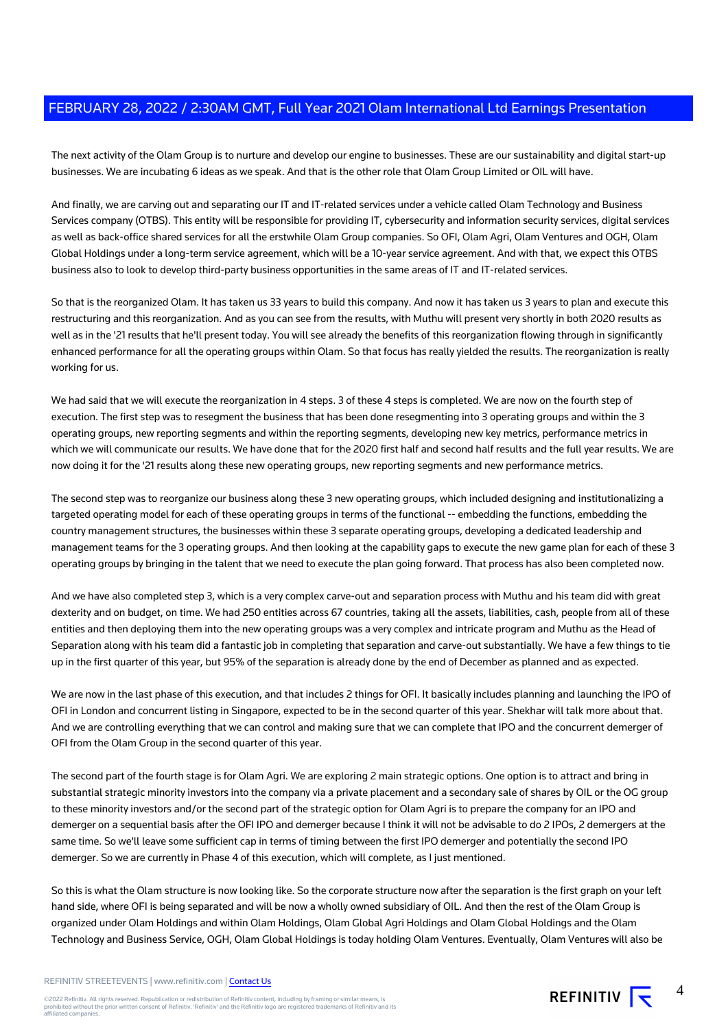The next activity of the Olam Group is to nurture and develop our engine to businesses. These are our sustainability and digital start-up businesses. We are incubating 6 ideas as we speak. And that is the other role that Olam Group Limited or OIL will have.

And finally, we are carving out and separating our IT and IT-related services under a vehicle called Olam Technology and Business Services company (OTBS). This entity will be responsible for providing IT, cybersecurity and information security services, digital services as well as back-office shared services for all the erstwhile Olam Group companies. So OFI, Olam Agri, Olam Ventures and OGH, Olam Global Holdings under a long-term service agreement, which will be a 10-year service agreement. And with that, we expect this OTBS business also to look to develop third-party business opportunities in the same areas of IT and IT-related services.

So that is the reorganized Olam. It has taken us 33 years to build this company. And now it has taken us 3 years to plan and execute this restructuring and this reorganization. And as you can see from the results, with Muthu will present very shortly in both 2020 results as well as in the '21 results that he'll present today. You will see already the benefits of this reorganization flowing through in significantly enhanced performance for all the operating groups within Olam. So that focus has really yielded the results. The reorganization is really working for us.

We had said that we will execute the reorganization in 4 steps. 3 of these 4 steps is completed. We are now on the fourth step of execution. The first step was to resegment the business that has been done resegmenting into 3 operating groups and within the 3 operating groups, new reporting segments and within the reporting segments, developing new key metrics, performance metrics in which we will communicate our results. We have done that for the 2020 first half and second half results and the full year results. We are now doing it for the '21 results along these new operating groups, new reporting segments and new performance metrics.

The second step was to reorganize our business along these 3 new operating groups, which included designing and institutionalizing a targeted operating model for each of these operating groups in terms of the functional -- embedding the functions, embedding the country management structures, the businesses within these 3 separate operating groups, developing a dedicated leadership and management teams for the 3 operating groups. And then looking at the capability gaps to execute the new game plan for each of these 3 operating groups by bringing in the talent that we need to execute the plan going forward. That process has also been completed now.

And we have also completed step 3, which is a very complex carve-out and separation process with Muthu and his team did with great dexterity and on budget, on time. We had 250 entities across 67 countries, taking all the assets, liabilities, cash, people from all of these entities and then deploying them into the new operating groups was a very complex and intricate program and Muthu as the Head of Separation along with his team did a fantastic job in completing that separation and carve-out substantially. We have a few things to tie up in the first quarter of this year, but 95% of the separation is already done by the end of December as planned and as expected.

We are now in the last phase of this execution, and that includes 2 things for OFI. It basically includes planning and launching the IPO of OFI in London and concurrent listing in Singapore, expected to be in the second quarter of this year. Shekhar will talk more about that. And we are controlling everything that we can control and making sure that we can complete that IPO and the concurrent demerger of OFI from the Olam Group in the second quarter of this year.

The second part of the fourth stage is for Olam Agri. We are exploring 2 main strategic options. One option is to attract and bring in substantial strategic minority investors into the company via a private placement and a secondary sale of shares by OIL or the OG group to these minority investors and/or the second part of the strategic option for Olam Agri is to prepare the company for an IPO and demerger on a sequential basis after the OFI IPO and demerger because I think it will not be advisable to do 2 IPOs, 2 demergers at the same time. So we'll leave some sufficient cap in terms of timing between the first IPO demerger and potentially the second IPO demerger. So we are currently in Phase 4 of this execution, which will complete, as I just mentioned.

So this is what the Olam structure is now looking like. So the corporate structure now after the separation is the first graph on your left hand side, where OFI is being separated and will be now a wholly owned subsidiary of OIL. And then the rest of the Olam Group is organized under Olam Holdings and within Olam Holdings, Olam Global Agri Holdings and Olam Global Holdings and the Olam Technology and Business Service, OGH, Olam Global Holdings is today holding Olam Ventures. Eventually, Olam Ventures will also be



4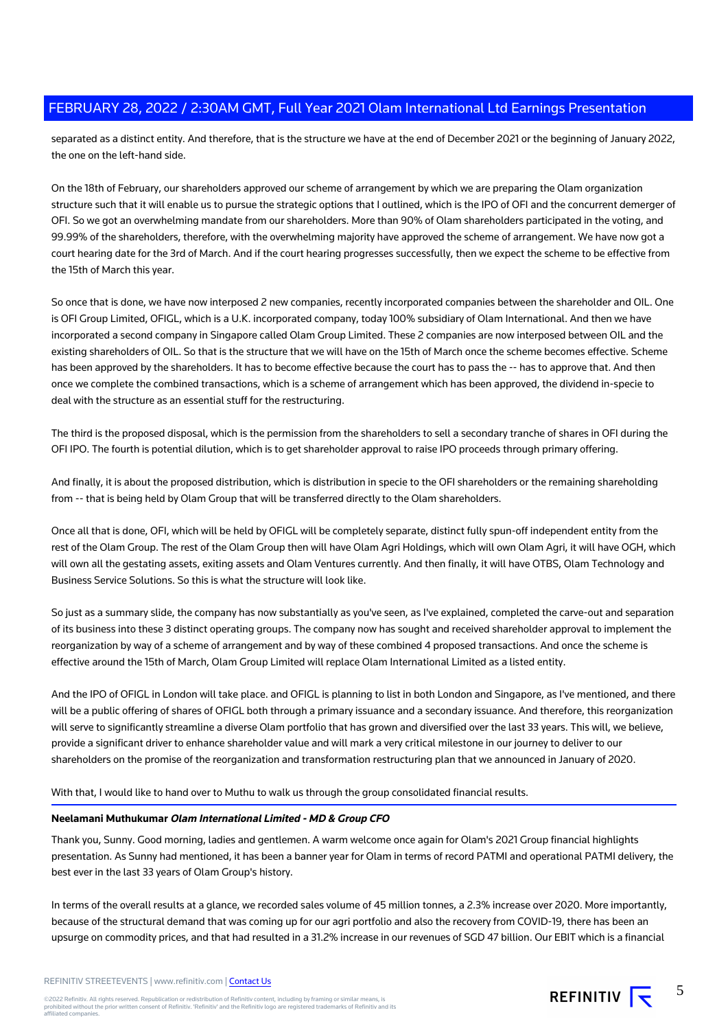separated as a distinct entity. And therefore, that is the structure we have at the end of December 2021 or the beginning of January 2022, the one on the left-hand side.

On the 18th of February, our shareholders approved our scheme of arrangement by which we are preparing the Olam organization structure such that it will enable us to pursue the strategic options that I outlined, which is the IPO of OFI and the concurrent demerger of OFI. So we got an overwhelming mandate from our shareholders. More than 90% of Olam shareholders participated in the voting, and 99.99% of the shareholders, therefore, with the overwhelming majority have approved the scheme of arrangement. We have now got a court hearing date for the 3rd of March. And if the court hearing progresses successfully, then we expect the scheme to be effective from the 15th of March this year.

So once that is done, we have now interposed 2 new companies, recently incorporated companies between the shareholder and OIL. One is OFI Group Limited, OFIGL, which is a U.K. incorporated company, today 100% subsidiary of Olam International. And then we have incorporated a second company in Singapore called Olam Group Limited. These 2 companies are now interposed between OIL and the existing shareholders of OIL. So that is the structure that we will have on the 15th of March once the scheme becomes effective. Scheme has been approved by the shareholders. It has to become effective because the court has to pass the -- has to approve that. And then once we complete the combined transactions, which is a scheme of arrangement which has been approved, the dividend in-specie to deal with the structure as an essential stuff for the restructuring.

The third is the proposed disposal, which is the permission from the shareholders to sell a secondary tranche of shares in OFI during the OFI IPO. The fourth is potential dilution, which is to get shareholder approval to raise IPO proceeds through primary offering.

And finally, it is about the proposed distribution, which is distribution in specie to the OFI shareholders or the remaining shareholding from -- that is being held by Olam Group that will be transferred directly to the Olam shareholders.

Once all that is done, OFI, which will be held by OFIGL will be completely separate, distinct fully spun-off independent entity from the rest of the Olam Group. The rest of the Olam Group then will have Olam Agri Holdings, which will own Olam Agri, it will have OGH, which will own all the gestating assets, exiting assets and Olam Ventures currently. And then finally, it will have OTBS, Olam Technology and Business Service Solutions. So this is what the structure will look like.

So just as a summary slide, the company has now substantially as you've seen, as I've explained, completed the carve-out and separation of its business into these 3 distinct operating groups. The company now has sought and received shareholder approval to implement the reorganization by way of a scheme of arrangement and by way of these combined 4 proposed transactions. And once the scheme is effective around the 15th of March, Olam Group Limited will replace Olam International Limited as a listed entity.

And the IPO of OFIGL in London will take place. and OFIGL is planning to list in both London and Singapore, as I've mentioned, and there will be a public offering of shares of OFIGL both through a primary issuance and a secondary issuance. And therefore, this reorganization will serve to significantly streamline a diverse Olam portfolio that has grown and diversified over the last 33 years. This will, we believe, provide a significant driver to enhance shareholder value and will mark a very critical milestone in our journey to deliver to our shareholders on the promise of the reorganization and transformation restructuring plan that we announced in January of 2020.

With that, I would like to hand over to Muthu to walk us through the group consolidated financial results.

#### **Neelamani Muthukumar Olam International Limited - MD & Group CFO**

Thank you, Sunny. Good morning, ladies and gentlemen. A warm welcome once again for Olam's 2021 Group financial highlights presentation. As Sunny had mentioned, it has been a banner year for Olam in terms of record PATMI and operational PATMI delivery, the best ever in the last 33 years of Olam Group's history.

In terms of the overall results at a glance, we recorded sales volume of 45 million tonnes, a 2.3% increase over 2020. More importantly, because of the structural demand that was coming up for our agri portfolio and also the recovery from COVID-19, there has been an upsurge on commodity prices, and that had resulted in a 31.2% increase in our revenues of SGD 47 billion. Our EBIT which is a financial

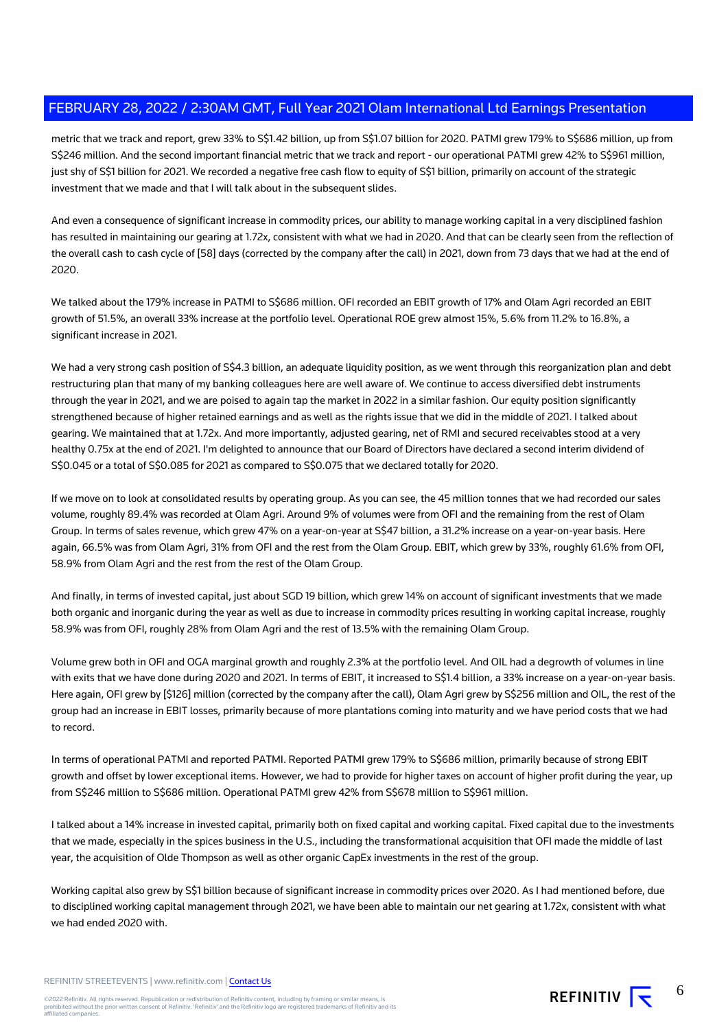metric that we track and report, grew 33% to S\$1.42 billion, up from S\$1.07 billion for 2020. PATMI grew 179% to S\$686 million, up from S\$246 million. And the second important financial metric that we track and report - our operational PATMI grew 42% to S\$961 million, just shy of S\$1 billion for 2021. We recorded a negative free cash flow to equity of S\$1 billion, primarily on account of the strategic investment that we made and that I will talk about in the subsequent slides.

And even a consequence of significant increase in commodity prices, our ability to manage working capital in a very disciplined fashion has resulted in maintaining our gearing at 1.72x, consistent with what we had in 2020. And that can be clearly seen from the reflection of the overall cash to cash cycle of [58] days (corrected by the company after the call) in 2021, down from 73 days that we had at the end of 2020.

We talked about the 179% increase in PATMI to S\$686 million. OFI recorded an EBIT growth of 17% and Olam Agri recorded an EBIT growth of 51.5%, an overall 33% increase at the portfolio level. Operational ROE grew almost 15%, 5.6% from 11.2% to 16.8%, a significant increase in 2021.

We had a very strong cash position of S\$4.3 billion, an adequate liquidity position, as we went through this reorganization plan and debt restructuring plan that many of my banking colleagues here are well aware of. We continue to access diversified debt instruments through the year in 2021, and we are poised to again tap the market in 2022 in a similar fashion. Our equity position significantly strengthened because of higher retained earnings and as well as the rights issue that we did in the middle of 2021. I talked about gearing. We maintained that at 1.72x. And more importantly, adjusted gearing, net of RMI and secured receivables stood at a very healthy 0.75x at the end of 2021. I'm delighted to announce that our Board of Directors have declared a second interim dividend of S\$0.045 or a total of S\$0.085 for 2021 as compared to S\$0.075 that we declared totally for 2020.

If we move on to look at consolidated results by operating group. As you can see, the 45 million tonnes that we had recorded our sales volume, roughly 89.4% was recorded at Olam Agri. Around 9% of volumes were from OFI and the remaining from the rest of Olam Group. In terms of sales revenue, which grew 47% on a year-on-year at S\$47 billion, a 31.2% increase on a year-on-year basis. Here again, 66.5% was from Olam Agri, 31% from OFI and the rest from the Olam Group. EBIT, which grew by 33%, roughly 61.6% from OFI, 58.9% from Olam Agri and the rest from the rest of the Olam Group.

And finally, in terms of invested capital, just about SGD 19 billion, which grew 14% on account of significant investments that we made both organic and inorganic during the year as well as due to increase in commodity prices resulting in working capital increase, roughly 58.9% was from OFI, roughly 28% from Olam Agri and the rest of 13.5% with the remaining Olam Group.

Volume grew both in OFI and OGA marginal growth and roughly 2.3% at the portfolio level. And OIL had a degrowth of volumes in line with exits that we have done during 2020 and 2021. In terms of EBIT, it increased to S\$1.4 billion, a 33% increase on a year-on-year basis. Here again, OFI grew by [\$126] million (corrected by the company after the call), Olam Agri grew by S\$256 million and OIL, the rest of the group had an increase in EBIT losses, primarily because of more plantations coming into maturity and we have period costs that we had to record.

In terms of operational PATMI and reported PATMI. Reported PATMI grew 179% to S\$686 million, primarily because of strong EBIT growth and offset by lower exceptional items. However, we had to provide for higher taxes on account of higher profit during the year, up from S\$246 million to S\$686 million. Operational PATMI grew 42% from S\$678 million to S\$961 million.

I talked about a 14% increase in invested capital, primarily both on fixed capital and working capital. Fixed capital due to the investments that we made, especially in the spices business in the U.S., including the transformational acquisition that OFI made the middle of last year, the acquisition of Olde Thompson as well as other organic CapEx investments in the rest of the group.

Working capital also grew by S\$1 billion because of significant increase in commodity prices over 2020. As I had mentioned before, due to disciplined working capital management through 2021, we have been able to maintain our net gearing at 1.72x, consistent with what we had ended 2020 with.

REFINITIV STREETEVENTS | www.refinitiv.com | [Contact Us](https://www.refinitiv.com/en/contact-us)



6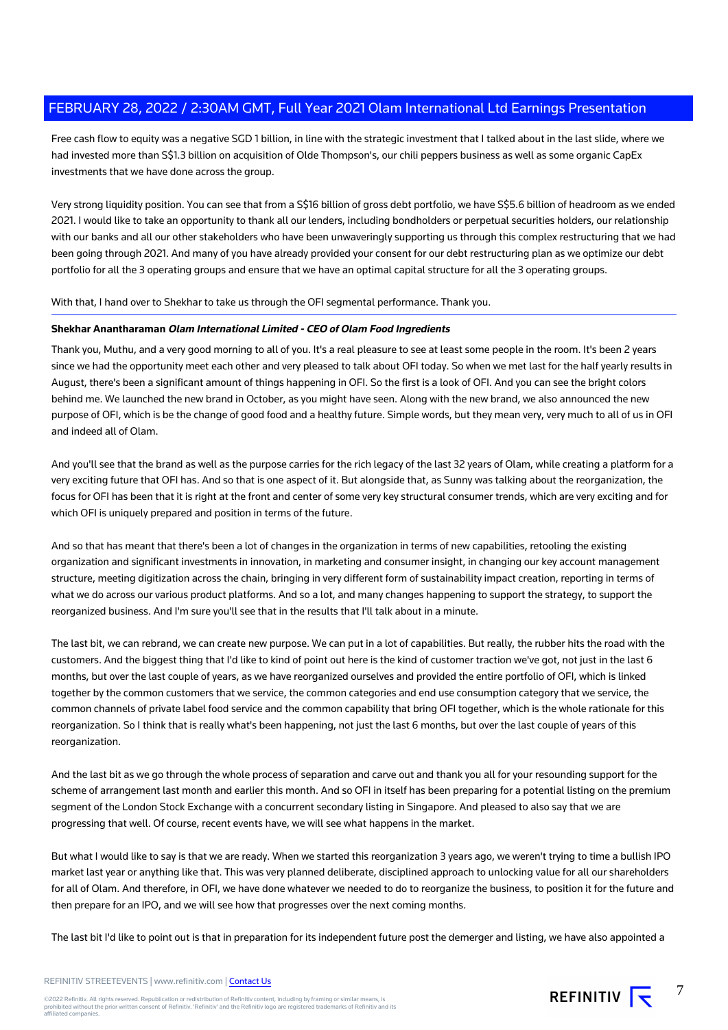Free cash flow to equity was a negative SGD 1 billion, in line with the strategic investment that I talked about in the last slide, where we had invested more than S\$1.3 billion on acquisition of Olde Thompson's, our chili peppers business as well as some organic CapEx investments that we have done across the group.

Very strong liquidity position. You can see that from a S\$16 billion of gross debt portfolio, we have S\$5.6 billion of headroom as we ended 2021. I would like to take an opportunity to thank all our lenders, including bondholders or perpetual securities holders, our relationship with our banks and all our other stakeholders who have been unwaveringly supporting us through this complex restructuring that we had been going through 2021. And many of you have already provided your consent for our debt restructuring plan as we optimize our debt portfolio for all the 3 operating groups and ensure that we have an optimal capital structure for all the 3 operating groups.

With that, I hand over to Shekhar to take us through the OFI segmental performance. Thank you.

#### **Shekhar Anantharaman Olam International Limited - CEO of Olam Food Ingredients**

Thank you, Muthu, and a very good morning to all of you. It's a real pleasure to see at least some people in the room. It's been 2 years since we had the opportunity meet each other and very pleased to talk about OFI today. So when we met last for the half yearly results in August, there's been a significant amount of things happening in OFI. So the first is a look of OFI. And you can see the bright colors behind me. We launched the new brand in October, as you might have seen. Along with the new brand, we also announced the new purpose of OFI, which is be the change of good food and a healthy future. Simple words, but they mean very, very much to all of us in OFI and indeed all of Olam.

And you'll see that the brand as well as the purpose carries for the rich legacy of the last 32 years of Olam, while creating a platform for a very exciting future that OFI has. And so that is one aspect of it. But alongside that, as Sunny was talking about the reorganization, the focus for OFI has been that it is right at the front and center of some very key structural consumer trends, which are very exciting and for which OFI is uniquely prepared and position in terms of the future.

And so that has meant that there's been a lot of changes in the organization in terms of new capabilities, retooling the existing organization and significant investments in innovation, in marketing and consumer insight, in changing our key account management structure, meeting digitization across the chain, bringing in very different form of sustainability impact creation, reporting in terms of what we do across our various product platforms. And so a lot, and many changes happening to support the strategy, to support the reorganized business. And I'm sure you'll see that in the results that I'll talk about in a minute.

The last bit, we can rebrand, we can create new purpose. We can put in a lot of capabilities. But really, the rubber hits the road with the customers. And the biggest thing that I'd like to kind of point out here is the kind of customer traction we've got, not just in the last 6 months, but over the last couple of years, as we have reorganized ourselves and provided the entire portfolio of OFI, which is linked together by the common customers that we service, the common categories and end use consumption category that we service, the common channels of private label food service and the common capability that bring OFI together, which is the whole rationale for this reorganization. So I think that is really what's been happening, not just the last 6 months, but over the last couple of years of this reorganization.

And the last bit as we go through the whole process of separation and carve out and thank you all for your resounding support for the scheme of arrangement last month and earlier this month. And so OFI in itself has been preparing for a potential listing on the premium segment of the London Stock Exchange with a concurrent secondary listing in Singapore. And pleased to also say that we are progressing that well. Of course, recent events have, we will see what happens in the market.

But what I would like to say is that we are ready. When we started this reorganization 3 years ago, we weren't trying to time a bullish IPO market last year or anything like that. This was very planned deliberate, disciplined approach to unlocking value for all our shareholders for all of Olam. And therefore, in OFI, we have done whatever we needed to do to reorganize the business, to position it for the future and then prepare for an IPO, and we will see how that progresses over the next coming months.

The last bit I'd like to point out is that in preparation for its independent future post the demerger and listing, we have also appointed a

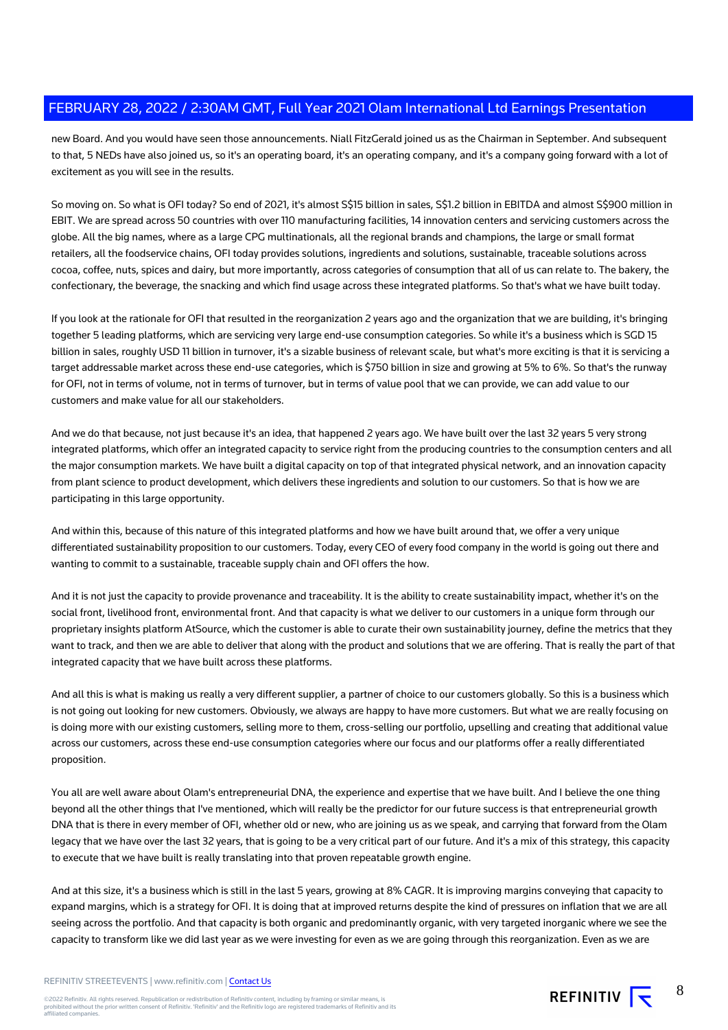new Board. And you would have seen those announcements. Niall FitzGerald joined us as the Chairman in September. And subsequent to that, 5 NEDs have also joined us, so it's an operating board, it's an operating company, and it's a company going forward with a lot of excitement as you will see in the results.

So moving on. So what is OFI today? So end of 2021, it's almost S\$15 billion in sales, S\$1.2 billion in EBITDA and almost S\$900 million in EBIT. We are spread across 50 countries with over 110 manufacturing facilities, 14 innovation centers and servicing customers across the globe. All the big names, where as a large CPG multinationals, all the regional brands and champions, the large or small format retailers, all the foodservice chains, OFI today provides solutions, ingredients and solutions, sustainable, traceable solutions across cocoa, coffee, nuts, spices and dairy, but more importantly, across categories of consumption that all of us can relate to. The bakery, the confectionary, the beverage, the snacking and which find usage across these integrated platforms. So that's what we have built today.

If you look at the rationale for OFI that resulted in the reorganization 2 years ago and the organization that we are building, it's bringing together 5 leading platforms, which are servicing very large end-use consumption categories. So while it's a business which is SGD 15 billion in sales, roughly USD 11 billion in turnover, it's a sizable business of relevant scale, but what's more exciting is that it is servicing a target addressable market across these end-use categories, which is \$750 billion in size and growing at 5% to 6%. So that's the runway for OFI, not in terms of volume, not in terms of turnover, but in terms of value pool that we can provide, we can add value to our customers and make value for all our stakeholders.

And we do that because, not just because it's an idea, that happened 2 years ago. We have built over the last 32 years 5 very strong integrated platforms, which offer an integrated capacity to service right from the producing countries to the consumption centers and all the major consumption markets. We have built a digital capacity on top of that integrated physical network, and an innovation capacity from plant science to product development, which delivers these ingredients and solution to our customers. So that is how we are participating in this large opportunity.

And within this, because of this nature of this integrated platforms and how we have built around that, we offer a very unique differentiated sustainability proposition to our customers. Today, every CEO of every food company in the world is going out there and wanting to commit to a sustainable, traceable supply chain and OFI offers the how.

And it is not just the capacity to provide provenance and traceability. It is the ability to create sustainability impact, whether it's on the social front, livelihood front, environmental front. And that capacity is what we deliver to our customers in a unique form through our proprietary insights platform AtSource, which the customer is able to curate their own sustainability journey, define the metrics that they want to track, and then we are able to deliver that along with the product and solutions that we are offering. That is really the part of that integrated capacity that we have built across these platforms.

And all this is what is making us really a very different supplier, a partner of choice to our customers globally. So this is a business which is not going out looking for new customers. Obviously, we always are happy to have more customers. But what we are really focusing on is doing more with our existing customers, selling more to them, cross-selling our portfolio, upselling and creating that additional value across our customers, across these end-use consumption categories where our focus and our platforms offer a really differentiated proposition.

You all are well aware about Olam's entrepreneurial DNA, the experience and expertise that we have built. And I believe the one thing beyond all the other things that I've mentioned, which will really be the predictor for our future success is that entrepreneurial growth DNA that is there in every member of OFI, whether old or new, who are joining us as we speak, and carrying that forward from the Olam legacy that we have over the last 32 years, that is going to be a very critical part of our future. And it's a mix of this strategy, this capacity to execute that we have built is really translating into that proven repeatable growth engine.

And at this size, it's a business which is still in the last 5 years, growing at 8% CAGR. It is improving margins conveying that capacity to expand margins, which is a strategy for OFI. It is doing that at improved returns despite the kind of pressures on inflation that we are all seeing across the portfolio. And that capacity is both organic and predominantly organic, with very targeted inorganic where we see the capacity to transform like we did last year as we were investing for even as we are going through this reorganization. Even as we are

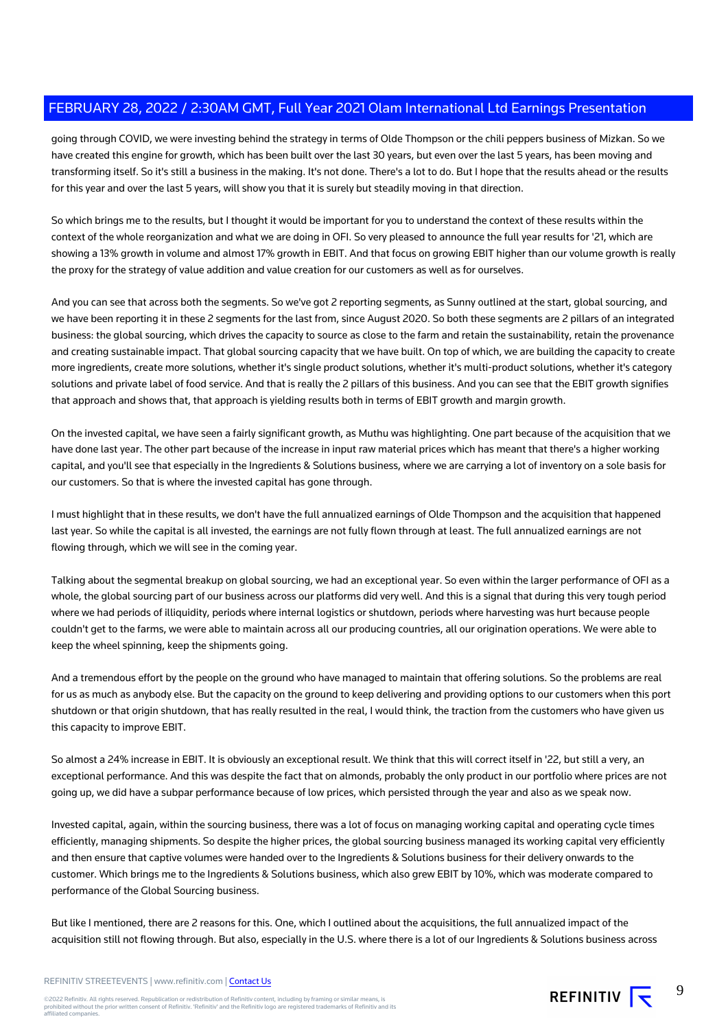going through COVID, we were investing behind the strategy in terms of Olde Thompson or the chili peppers business of Mizkan. So we have created this engine for growth, which has been built over the last 30 years, but even over the last 5 years, has been moving and transforming itself. So it's still a business in the making. It's not done. There's a lot to do. But I hope that the results ahead or the results for this year and over the last 5 years, will show you that it is surely but steadily moving in that direction.

So which brings me to the results, but I thought it would be important for you to understand the context of these results within the context of the whole reorganization and what we are doing in OFI. So very pleased to announce the full year results for '21, which are showing a 13% growth in volume and almost 17% growth in EBIT. And that focus on growing EBIT higher than our volume growth is really the proxy for the strategy of value addition and value creation for our customers as well as for ourselves.

And you can see that across both the segments. So we've got 2 reporting segments, as Sunny outlined at the start, global sourcing, and we have been reporting it in these 2 segments for the last from, since August 2020. So both these segments are 2 pillars of an integrated business: the global sourcing, which drives the capacity to source as close to the farm and retain the sustainability, retain the provenance and creating sustainable impact. That global sourcing capacity that we have built. On top of which, we are building the capacity to create more ingredients, create more solutions, whether it's single product solutions, whether it's multi-product solutions, whether it's category solutions and private label of food service. And that is really the 2 pillars of this business. And you can see that the EBIT growth signifies that approach and shows that, that approach is yielding results both in terms of EBIT growth and margin growth.

On the invested capital, we have seen a fairly significant growth, as Muthu was highlighting. One part because of the acquisition that we have done last year. The other part because of the increase in input raw material prices which has meant that there's a higher working capital, and you'll see that especially in the Ingredients & Solutions business, where we are carrying a lot of inventory on a sole basis for our customers. So that is where the invested capital has gone through.

I must highlight that in these results, we don't have the full annualized earnings of Olde Thompson and the acquisition that happened last year. So while the capital is all invested, the earnings are not fully flown through at least. The full annualized earnings are not flowing through, which we will see in the coming year.

Talking about the segmental breakup on global sourcing, we had an exceptional year. So even within the larger performance of OFI as a whole, the global sourcing part of our business across our platforms did very well. And this is a signal that during this very tough period where we had periods of illiquidity, periods where internal logistics or shutdown, periods where harvesting was hurt because people couldn't get to the farms, we were able to maintain across all our producing countries, all our origination operations. We were able to keep the wheel spinning, keep the shipments going.

And a tremendous effort by the people on the ground who have managed to maintain that offering solutions. So the problems are real for us as much as anybody else. But the capacity on the ground to keep delivering and providing options to our customers when this port shutdown or that origin shutdown, that has really resulted in the real, I would think, the traction from the customers who have given us this capacity to improve EBIT.

So almost a 24% increase in EBIT. It is obviously an exceptional result. We think that this will correct itself in '22, but still a very, an exceptional performance. And this was despite the fact that on almonds, probably the only product in our portfolio where prices are not going up, we did have a subpar performance because of low prices, which persisted through the year and also as we speak now.

Invested capital, again, within the sourcing business, there was a lot of focus on managing working capital and operating cycle times efficiently, managing shipments. So despite the higher prices, the global sourcing business managed its working capital very efficiently and then ensure that captive volumes were handed over to the Ingredients & Solutions business for their delivery onwards to the customer. Which brings me to the Ingredients & Solutions business, which also grew EBIT by 10%, which was moderate compared to performance of the Global Sourcing business.

But like I mentioned, there are 2 reasons for this. One, which I outlined about the acquisitions, the full annualized impact of the acquisition still not flowing through. But also, especially in the U.S. where there is a lot of our Ingredients & Solutions business across



9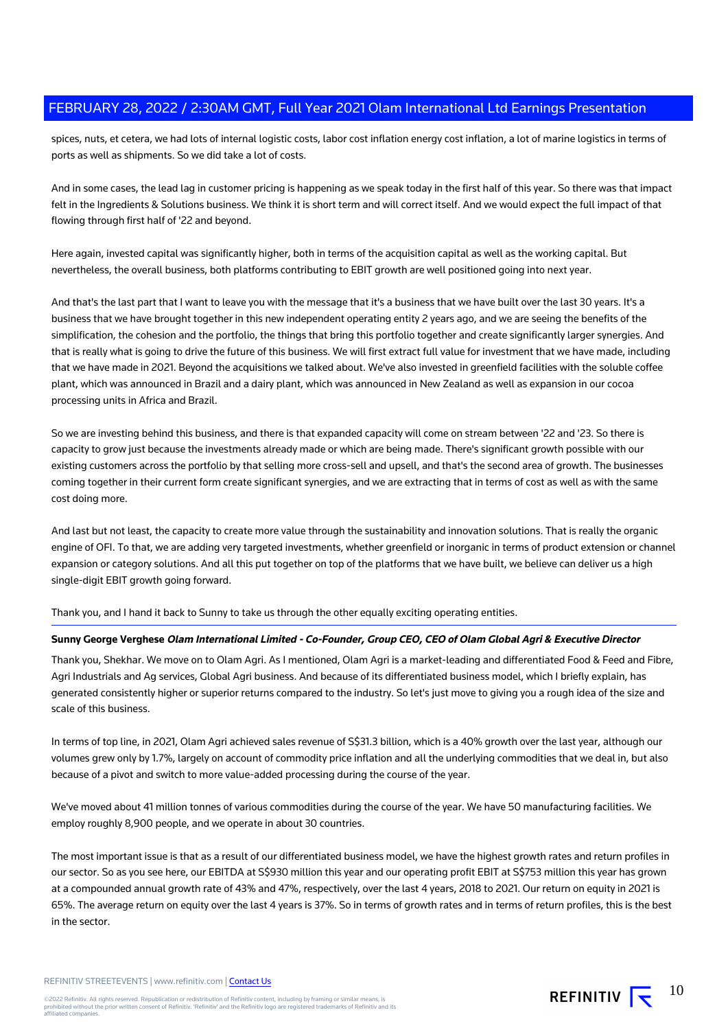spices, nuts, et cetera, we had lots of internal logistic costs, labor cost inflation energy cost inflation, a lot of marine logistics in terms of ports as well as shipments. So we did take a lot of costs.

And in some cases, the lead lag in customer pricing is happening as we speak today in the first half of this year. So there was that impact felt in the Ingredients & Solutions business. We think it is short term and will correct itself. And we would expect the full impact of that flowing through first half of '22 and beyond.

Here again, invested capital was significantly higher, both in terms of the acquisition capital as well as the working capital. But nevertheless, the overall business, both platforms contributing to EBIT growth are well positioned going into next year.

And that's the last part that I want to leave you with the message that it's a business that we have built over the last 30 years. It's a business that we have brought together in this new independent operating entity 2 years ago, and we are seeing the benefits of the simplification, the cohesion and the portfolio, the things that bring this portfolio together and create significantly larger synergies. And that is really what is going to drive the future of this business. We will first extract full value for investment that we have made, including that we have made in 2021. Beyond the acquisitions we talked about. We've also invested in greenfield facilities with the soluble coffee plant, which was announced in Brazil and a dairy plant, which was announced in New Zealand as well as expansion in our cocoa processing units in Africa and Brazil.

So we are investing behind this business, and there is that expanded capacity will come on stream between '22 and '23. So there is capacity to grow just because the investments already made or which are being made. There's significant growth possible with our existing customers across the portfolio by that selling more cross-sell and upsell, and that's the second area of growth. The businesses coming together in their current form create significant synergies, and we are extracting that in terms of cost as well as with the same cost doing more.

And last but not least, the capacity to create more value through the sustainability and innovation solutions. That is really the organic engine of OFI. To that, we are adding very targeted investments, whether greenfield or inorganic in terms of product extension or channel expansion or category solutions. And all this put together on top of the platforms that we have built, we believe can deliver us a high single-digit EBIT growth going forward.

Thank you, and I hand it back to Sunny to take us through the other equally exciting operating entities.

#### **Sunny George Verghese Olam International Limited - Co-Founder, Group CEO, CEO of Olam Global Agri & Executive Director**

Thank you, Shekhar. We move on to Olam Agri. As I mentioned, Olam Agri is a market-leading and differentiated Food & Feed and Fibre, Agri Industrials and Ag services, Global Agri business. And because of its differentiated business model, which I briefly explain, has generated consistently higher or superior returns compared to the industry. So let's just move to giving you a rough idea of the size and scale of this business.

In terms of top line, in 2021, Olam Agri achieved sales revenue of S\$31.3 billion, which is a 40% growth over the last year, although our volumes grew only by 1.7%, largely on account of commodity price inflation and all the underlying commodities that we deal in, but also because of a pivot and switch to more value-added processing during the course of the year.

We've moved about 41 million tonnes of various commodities during the course of the year. We have 50 manufacturing facilities. We employ roughly 8,900 people, and we operate in about 30 countries.

The most important issue is that as a result of our differentiated business model, we have the highest growth rates and return profiles in our sector. So as you see here, our EBITDA at S\$930 million this year and our operating profit EBIT at S\$753 million this year has grown at a compounded annual growth rate of 43% and 47%, respectively, over the last 4 years, 2018 to 2021. Our return on equity in 2021 is 65%. The average return on equity over the last 4 years is 37%. So in terms of growth rates and in terms of return profiles, this is the best in the sector.

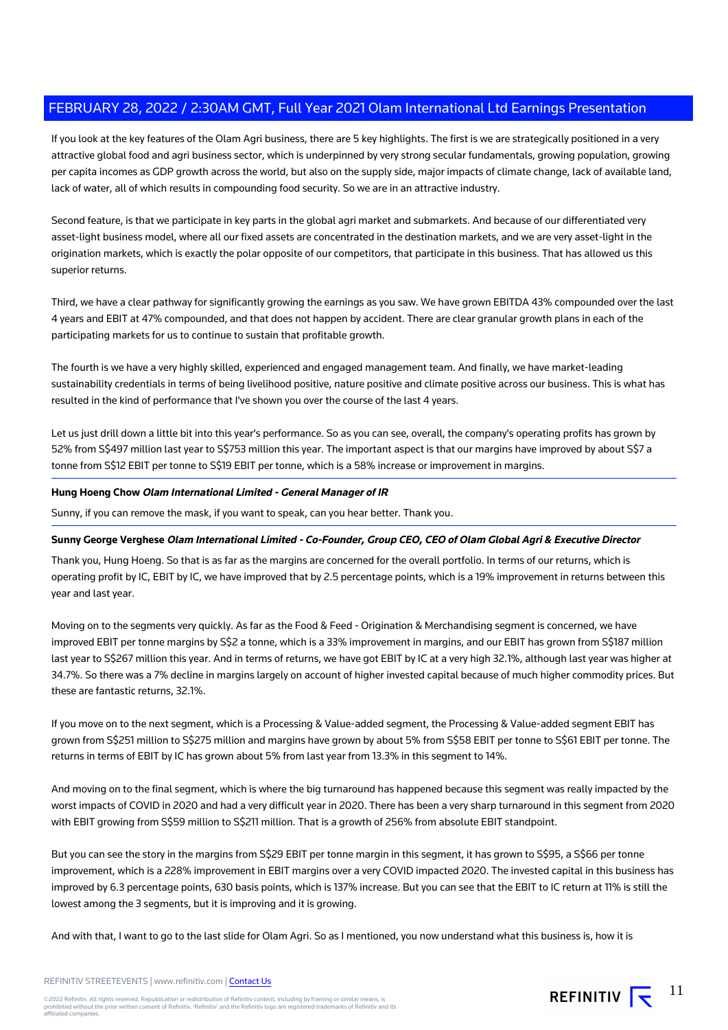If you look at the key features of the Olam Agri business, there are 5 key highlights. The first is we are strategically positioned in a very attractive global food and agri business sector, which is underpinned by very strong secular fundamentals, growing population, growing per capita incomes as GDP growth across the world, but also on the supply side, major impacts of climate change, lack of available land, lack of water, all of which results in compounding food security. So we are in an attractive industry.

Second feature, is that we participate in key parts in the global agri market and submarkets. And because of our differentiated very asset-light business model, where all our fixed assets are concentrated in the destination markets, and we are very asset-light in the origination markets, which is exactly the polar opposite of our competitors, that participate in this business. That has allowed us this superior returns.

Third, we have a clear pathway for significantly growing the earnings as you saw. We have grown EBITDA 43% compounded over the last 4 years and EBIT at 47% compounded, and that does not happen by accident. There are clear granular growth plans in each of the participating markets for us to continue to sustain that profitable growth.

The fourth is we have a very highly skilled, experienced and engaged management team. And finally, we have market-leading sustainability credentials in terms of being livelihood positive, nature positive and climate positive across our business. This is what has resulted in the kind of performance that I've shown you over the course of the last 4 years.

Let us just drill down a little bit into this year's performance. So as you can see, overall, the company's operating profits has grown by 52% from S\$497 million last year to S\$753 million this year. The important aspect is that our margins have improved by about S\$7 a tonne from S\$12 EBIT per tonne to S\$19 EBIT per tonne, which is a 58% increase or improvement in margins.

#### **Hung Hoeng Chow Olam International Limited - General Manager of IR**

Sunny, if you can remove the mask, if you want to speak, can you hear better. Thank you.

#### **Sunny George Verghese Olam International Limited - Co-Founder, Group CEO, CEO of Olam Global Agri & Executive Director**

Thank you, Hung Hoeng. So that is as far as the margins are concerned for the overall portfolio. In terms of our returns, which is operating profit by IC, EBIT by IC, we have improved that by 2.5 percentage points, which is a 19% improvement in returns between this year and last year.

Moving on to the segments very quickly. As far as the Food & Feed - Origination & Merchandising segment is concerned, we have improved EBIT per tonne margins by S\$2 a tonne, which is a 33% improvement in margins, and our EBIT has grown from S\$187 million last year to S\$267 million this year. And in terms of returns, we have got EBIT by IC at a very high 32.1%, although last year was higher at 34.7%. So there was a 7% decline in margins largely on account of higher invested capital because of much higher commodity prices. But these are fantastic returns, 32.1%.

If you move on to the next segment, which is a Processing & Value-added segment, the Processing & Value-added segment EBIT has grown from S\$251 million to S\$275 million and margins have grown by about 5% from S\$58 EBIT per tonne to S\$61 EBIT per tonne. The returns in terms of EBIT by IC has grown about 5% from last year from 13.3% in this segment to 14%.

And moving on to the final segment, which is where the big turnaround has happened because this segment was really impacted by the worst impacts of COVID in 2020 and had a very difficult year in 2020. There has been a very sharp turnaround in this segment from 2020 with EBIT growing from S\$59 million to S\$211 million. That is a growth of 256% from absolute EBIT standpoint.

But you can see the story in the margins from S\$29 EBIT per tonne margin in this segment, it has grown to S\$95, a S\$66 per tonne improvement, which is a 228% improvement in EBIT margins over a very COVID impacted 2020. The invested capital in this business has improved by 6.3 percentage points, 630 basis points, which is 137% increase. But you can see that the EBIT to IC return at 11% is still the lowest among the 3 segments, but it is improving and it is growing.

And with that, I want to go to the last slide for Olam Agri. So as I mentioned, you now understand what this business is, how it is

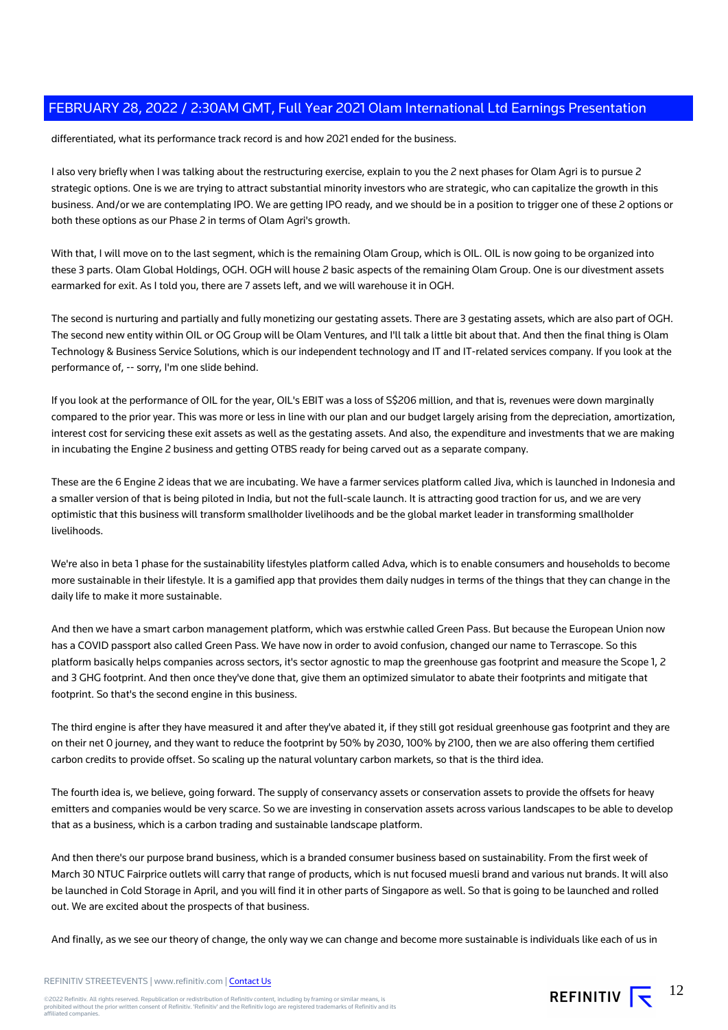differentiated, what its performance track record is and how 2021 ended for the business.

I also very briefly when I was talking about the restructuring exercise, explain to you the 2 next phases for Olam Agri is to pursue 2 strategic options. One is we are trying to attract substantial minority investors who are strategic, who can capitalize the growth in this business. And/or we are contemplating IPO. We are getting IPO ready, and we should be in a position to trigger one of these 2 options or both these options as our Phase 2 in terms of Olam Agri's growth.

With that, I will move on to the last segment, which is the remaining Olam Group, which is OIL. OIL is now going to be organized into these 3 parts. Olam Global Holdings, OGH. OGH will house 2 basic aspects of the remaining Olam Group. One is our divestment assets earmarked for exit. As I told you, there are 7 assets left, and we will warehouse it in OGH.

The second is nurturing and partially and fully monetizing our gestating assets. There are 3 gestating assets, which are also part of OGH. The second new entity within OIL or OG Group will be Olam Ventures, and I'll talk a little bit about that. And then the final thing is Olam Technology & Business Service Solutions, which is our independent technology and IT and IT-related services company. If you look at the performance of, -- sorry, I'm one slide behind.

If you look at the performance of OIL for the year, OIL's EBIT was a loss of S\$206 million, and that is, revenues were down marginally compared to the prior year. This was more or less in line with our plan and our budget largely arising from the depreciation, amortization, interest cost for servicing these exit assets as well as the gestating assets. And also, the expenditure and investments that we are making in incubating the Engine 2 business and getting OTBS ready for being carved out as a separate company.

These are the 6 Engine 2 ideas that we are incubating. We have a farmer services platform called Jiva, which is launched in Indonesia and a smaller version of that is being piloted in India, but not the full-scale launch. It is attracting good traction for us, and we are very optimistic that this business will transform smallholder livelihoods and be the global market leader in transforming smallholder livelihoods.

We're also in beta 1 phase for the sustainability lifestyles platform called Adva, which is to enable consumers and households to become more sustainable in their lifestyle. It is a gamified app that provides them daily nudges in terms of the things that they can change in the daily life to make it more sustainable.

And then we have a smart carbon management platform, which was erstwhie called Green Pass. But because the European Union now has a COVID passport also called Green Pass. We have now in order to avoid confusion, changed our name to Terrascope. So this platform basically helps companies across sectors, it's sector agnostic to map the greenhouse gas footprint and measure the Scope 1, 2 and 3 GHG footprint. And then once they've done that, give them an optimized simulator to abate their footprints and mitigate that footprint. So that's the second engine in this business.

The third engine is after they have measured it and after they've abated it, if they still got residual greenhouse gas footprint and they are on their net 0 journey, and they want to reduce the footprint by 50% by 2030, 100% by 2100, then we are also offering them certified carbon credits to provide offset. So scaling up the natural voluntary carbon markets, so that is the third idea.

The fourth idea is, we believe, going forward. The supply of conservancy assets or conservation assets to provide the offsets for heavy emitters and companies would be very scarce. So we are investing in conservation assets across various landscapes to be able to develop that as a business, which is a carbon trading and sustainable landscape platform.

And then there's our purpose brand business, which is a branded consumer business based on sustainability. From the first week of March 30 NTUC Fairprice outlets will carry that range of products, which is nut focused muesli brand and various nut brands. It will also be launched in Cold Storage in April, and you will find it in other parts of Singapore as well. So that is going to be launched and rolled out. We are excited about the prospects of that business.

And finally, as we see our theory of change, the only way we can change and become more sustainable is individuals like each of us in

REFINITIV  $\overline{\mathbf{S}}^{12}$ 

#### REFINITIV STREETEVENTS | www.refinitiv.com | [Contact Us](https://www.refinitiv.com/en/contact-us)

©2022 Refinitiv. All rights reserved. Republication or redistribution of Refinitiv content, including by framing or similar means, is<br>prohibited without the prior written consent of Refinitiv. 'Refinitiv' and the Refinitiv affiliated companies.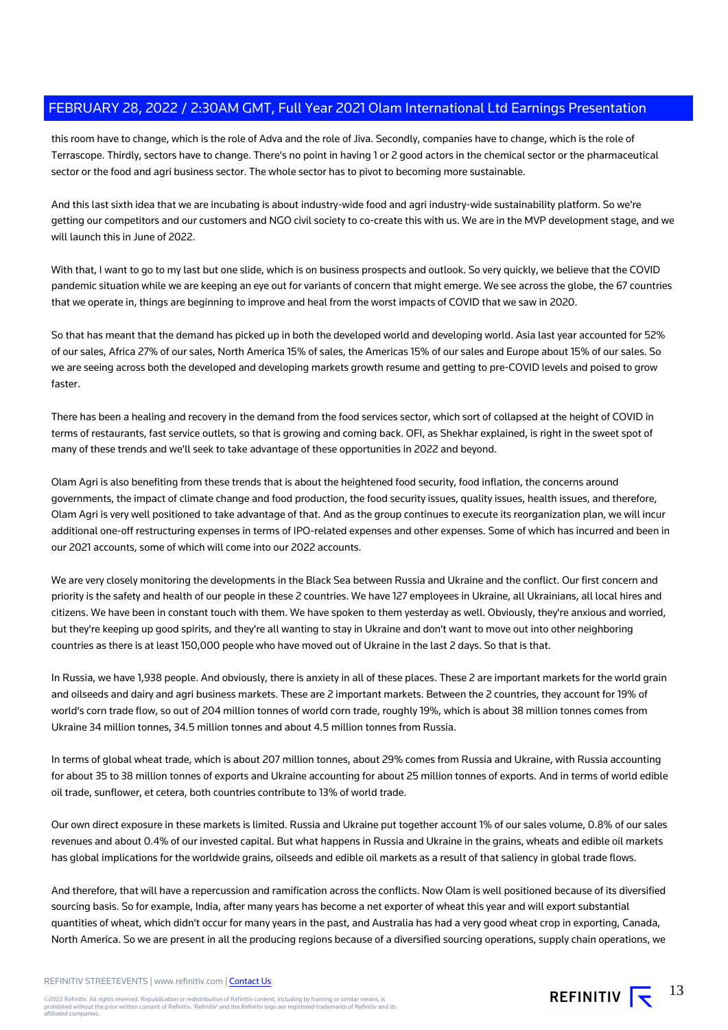this room have to change, which is the role of Adva and the role of Jiva. Secondly, companies have to change, which is the role of Terrascope. Thirdly, sectors have to change. There's no point in having 1 or 2 good actors in the chemical sector or the pharmaceutical sector or the food and agri business sector. The whole sector has to pivot to becoming more sustainable.

And this last sixth idea that we are incubating is about industry-wide food and agri industry-wide sustainability platform. So we're getting our competitors and our customers and NGO civil society to co-create this with us. We are in the MVP development stage, and we will launch this in June of 2022.

With that, I want to go to my last but one slide, which is on business prospects and outlook. So very quickly, we believe that the COVID pandemic situation while we are keeping an eye out for variants of concern that might emerge. We see across the globe, the 67 countries that we operate in, things are beginning to improve and heal from the worst impacts of COVID that we saw in 2020.

So that has meant that the demand has picked up in both the developed world and developing world. Asia last year accounted for 52% of our sales, Africa 27% of our sales, North America 15% of sales, the Americas 15% of our sales and Europe about 15% of our sales. So we are seeing across both the developed and developing markets growth resume and getting to pre-COVID levels and poised to grow faster.

There has been a healing and recovery in the demand from the food services sector, which sort of collapsed at the height of COVID in terms of restaurants, fast service outlets, so that is growing and coming back. OFI, as Shekhar explained, is right in the sweet spot of many of these trends and we'll seek to take advantage of these opportunities in 2022 and beyond.

Olam Agri is also benefiting from these trends that is about the heightened food security, food inflation, the concerns around governments, the impact of climate change and food production, the food security issues, quality issues, health issues, and therefore, Olam Agri is very well positioned to take advantage of that. And as the group continues to execute its reorganization plan, we will incur additional one-off restructuring expenses in terms of IPO-related expenses and other expenses. Some of which has incurred and been in our 2021 accounts, some of which will come into our 2022 accounts.

We are very closely monitoring the developments in the Black Sea between Russia and Ukraine and the conflict. Our first concern and priority is the safety and health of our people in these 2 countries. We have 127 employees in Ukraine, all Ukrainians, all local hires and citizens. We have been in constant touch with them. We have spoken to them yesterday as well. Obviously, they're anxious and worried, but they're keeping up good spirits, and they're all wanting to stay in Ukraine and don't want to move out into other neighboring countries as there is at least 150,000 people who have moved out of Ukraine in the last 2 days. So that is that.

In Russia, we have 1,938 people. And obviously, there is anxiety in all of these places. These 2 are important markets for the world grain and oilseeds and dairy and agri business markets. These are 2 important markets. Between the 2 countries, they account for 19% of world's corn trade flow, so out of 204 million tonnes of world corn trade, roughly 19%, which is about 38 million tonnes comes from Ukraine 34 million tonnes, 34.5 million tonnes and about 4.5 million tonnes from Russia.

In terms of global wheat trade, which is about 207 million tonnes, about 29% comes from Russia and Ukraine, with Russia accounting for about 35 to 38 million tonnes of exports and Ukraine accounting for about 25 million tonnes of exports. And in terms of world edible oil trade, sunflower, et cetera, both countries contribute to 13% of world trade.

Our own direct exposure in these markets is limited. Russia and Ukraine put together account 1% of our sales volume, 0.8% of our sales revenues and about 0.4% of our invested capital. But what happens in Russia and Ukraine in the grains, wheats and edible oil markets has global implications for the worldwide grains, oilseeds and edible oil markets as a result of that saliency in global trade flows.

And therefore, that will have a repercussion and ramification across the conflicts. Now Olam is well positioned because of its diversified sourcing basis. So for example, India, after many years has become a net exporter of wheat this year and will export substantial quantities of wheat, which didn't occur for many years in the past, and Australia has had a very good wheat crop in exporting, Canada, North America. So we are present in all the producing regions because of a diversified sourcing operations, supply chain operations, we

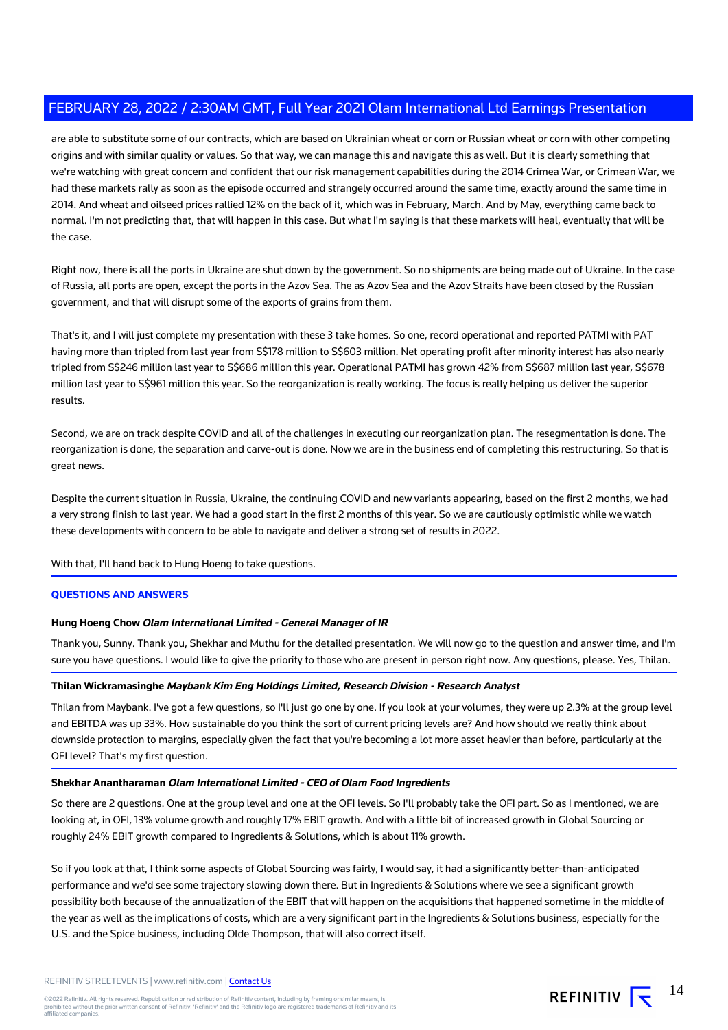are able to substitute some of our contracts, which are based on Ukrainian wheat or corn or Russian wheat or corn with other competing origins and with similar quality or values. So that way, we can manage this and navigate this as well. But it is clearly something that we're watching with great concern and confident that our risk management capabilities during the 2014 Crimea War, or Crimean War, we had these markets rally as soon as the episode occurred and strangely occurred around the same time, exactly around the same time in 2014. And wheat and oilseed prices rallied 12% on the back of it, which was in February, March. And by May, everything came back to normal. I'm not predicting that, that will happen in this case. But what I'm saying is that these markets will heal, eventually that will be the case.

Right now, there is all the ports in Ukraine are shut down by the government. So no shipments are being made out of Ukraine. In the case of Russia, all ports are open, except the ports in the Azov Sea. The as Azov Sea and the Azov Straits have been closed by the Russian government, and that will disrupt some of the exports of grains from them.

That's it, and I will just complete my presentation with these 3 take homes. So one, record operational and reported PATMI with PAT having more than tripled from last year from S\$178 million to S\$603 million. Net operating profit after minority interest has also nearly tripled from S\$246 million last year to S\$686 million this year. Operational PATMI has grown 42% from S\$687 million last year, S\$678 million last year to S\$961 million this year. So the reorganization is really working. The focus is really helping us deliver the superior results.

Second, we are on track despite COVID and all of the challenges in executing our reorganization plan. The resegmentation is done. The reorganization is done, the separation and carve-out is done. Now we are in the business end of completing this restructuring. So that is great news.

Despite the current situation in Russia, Ukraine, the continuing COVID and new variants appearing, based on the first 2 months, we had a very strong finish to last year. We had a good start in the first 2 months of this year. So we are cautiously optimistic while we watch these developments with concern to be able to navigate and deliver a strong set of results in 2022.

With that, I'll hand back to Hung Hoeng to take questions.

#### **QUESTIONS AND ANSWERS**

#### **Hung Hoeng Chow Olam International Limited - General Manager of IR**

Thank you, Sunny. Thank you, Shekhar and Muthu for the detailed presentation. We will now go to the question and answer time, and I'm sure you have questions. I would like to give the priority to those who are present in person right now. Any questions, please. Yes, Thilan.

#### **Thilan Wickramasinghe Maybank Kim Eng Holdings Limited, Research Division - Research Analyst**

Thilan from Maybank. I've got a few questions, so I'll just go one by one. If you look at your volumes, they were up 2.3% at the group level and EBITDA was up 33%. How sustainable do you think the sort of current pricing levels are? And how should we really think about downside protection to margins, especially given the fact that you're becoming a lot more asset heavier than before, particularly at the OFI level? That's my first question.

#### **Shekhar Anantharaman Olam International Limited - CEO of Olam Food Ingredients**

So there are 2 questions. One at the group level and one at the OFI levels. So I'll probably take the OFI part. So as I mentioned, we are looking at, in OFI, 13% volume growth and roughly 17% EBIT growth. And with a little bit of increased growth in Global Sourcing or roughly 24% EBIT growth compared to Ingredients & Solutions, which is about 11% growth.

So if you look at that, I think some aspects of Global Sourcing was fairly, I would say, it had a significantly better-than-anticipated performance and we'd see some trajectory slowing down there. But in Ingredients & Solutions where we see a significant growth possibility both because of the annualization of the EBIT that will happen on the acquisitions that happened sometime in the middle of the year as well as the implications of costs, which are a very significant part in the Ingredients & Solutions business, especially for the U.S. and the Spice business, including Olde Thompson, that will also correct itself.

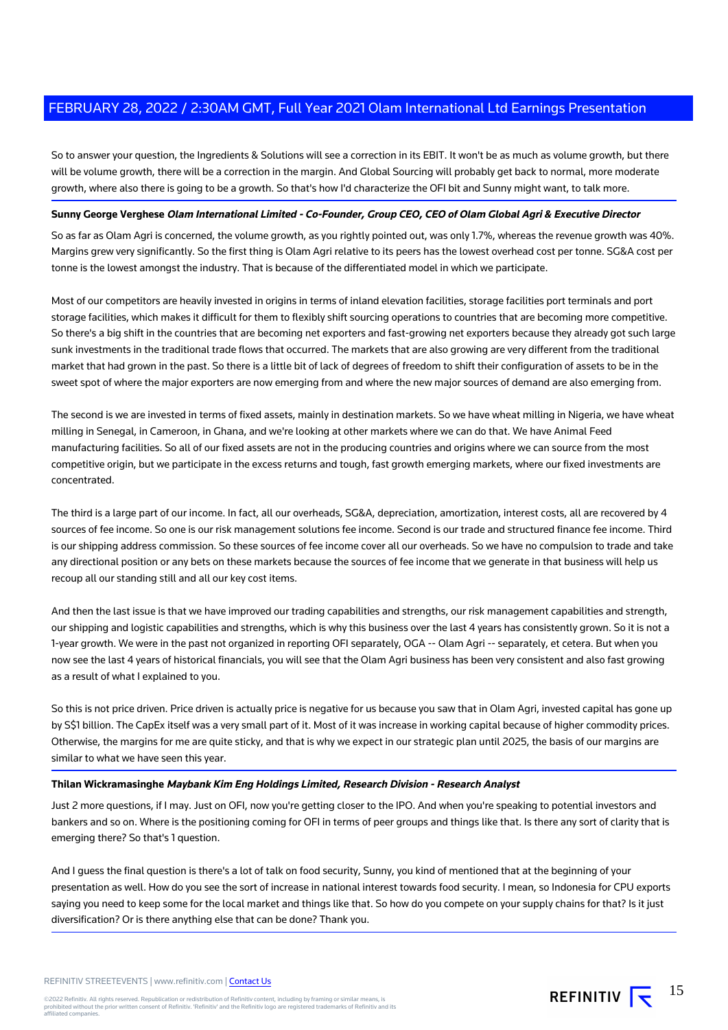So to answer your question, the Ingredients & Solutions will see a correction in its EBIT. It won't be as much as volume growth, but there will be volume growth, there will be a correction in the margin. And Global Sourcing will probably get back to normal, more moderate growth, where also there is going to be a growth. So that's how I'd characterize the OFI bit and Sunny might want, to talk more.

#### **Sunny George Verghese Olam International Limited - Co-Founder, Group CEO, CEO of Olam Global Agri & Executive Director**

So as far as Olam Agri is concerned, the volume growth, as you rightly pointed out, was only 1.7%, whereas the revenue growth was 40%. Margins grew very significantly. So the first thing is Olam Agri relative to its peers has the lowest overhead cost per tonne. SG&A cost per tonne is the lowest amongst the industry. That is because of the differentiated model in which we participate.

Most of our competitors are heavily invested in origins in terms of inland elevation facilities, storage facilities port terminals and port storage facilities, which makes it difficult for them to flexibly shift sourcing operations to countries that are becoming more competitive. So there's a big shift in the countries that are becoming net exporters and fast-growing net exporters because they already got such large sunk investments in the traditional trade flows that occurred. The markets that are also growing are very different from the traditional market that had grown in the past. So there is a little bit of lack of degrees of freedom to shift their configuration of assets to be in the sweet spot of where the major exporters are now emerging from and where the new major sources of demand are also emerging from.

The second is we are invested in terms of fixed assets, mainly in destination markets. So we have wheat milling in Nigeria, we have wheat milling in Senegal, in Cameroon, in Ghana, and we're looking at other markets where we can do that. We have Animal Feed manufacturing facilities. So all of our fixed assets are not in the producing countries and origins where we can source from the most competitive origin, but we participate in the excess returns and tough, fast growth emerging markets, where our fixed investments are concentrated.

The third is a large part of our income. In fact, all our overheads, SG&A, depreciation, amortization, interest costs, all are recovered by 4 sources of fee income. So one is our risk management solutions fee income. Second is our trade and structured finance fee income. Third is our shipping address commission. So these sources of fee income cover all our overheads. So we have no compulsion to trade and take any directional position or any bets on these markets because the sources of fee income that we generate in that business will help us recoup all our standing still and all our key cost items.

And then the last issue is that we have improved our trading capabilities and strengths, our risk management capabilities and strength, our shipping and logistic capabilities and strengths, which is why this business over the last 4 years has consistently grown. So it is not a 1-year growth. We were in the past not organized in reporting OFI separately, OGA -- Olam Agri -- separately, et cetera. But when you now see the last 4 years of historical financials, you will see that the Olam Agri business has been very consistent and also fast growing as a result of what I explained to you.

So this is not price driven. Price driven is actually price is negative for us because you saw that in Olam Agri, invested capital has gone up by S\$1 billion. The CapEx itself was a very small part of it. Most of it was increase in working capital because of higher commodity prices. Otherwise, the margins for me are quite sticky, and that is why we expect in our strategic plan until 2025, the basis of our margins are similar to what we have seen this year.

#### **Thilan Wickramasinghe Maybank Kim Eng Holdings Limited, Research Division - Research Analyst**

Just 2 more questions, if I may. Just on OFI, now you're getting closer to the IPO. And when you're speaking to potential investors and bankers and so on. Where is the positioning coming for OFI in terms of peer groups and things like that. Is there any sort of clarity that is emerging there? So that's 1 question.

And I guess the final question is there's a lot of talk on food security, Sunny, you kind of mentioned that at the beginning of your presentation as well. How do you see the sort of increase in national interest towards food security. I mean, so Indonesia for CPU exports saying you need to keep some for the local market and things like that. So how do you compete on your supply chains for that? Is it just diversification? Or is there anything else that can be done? Thank you.

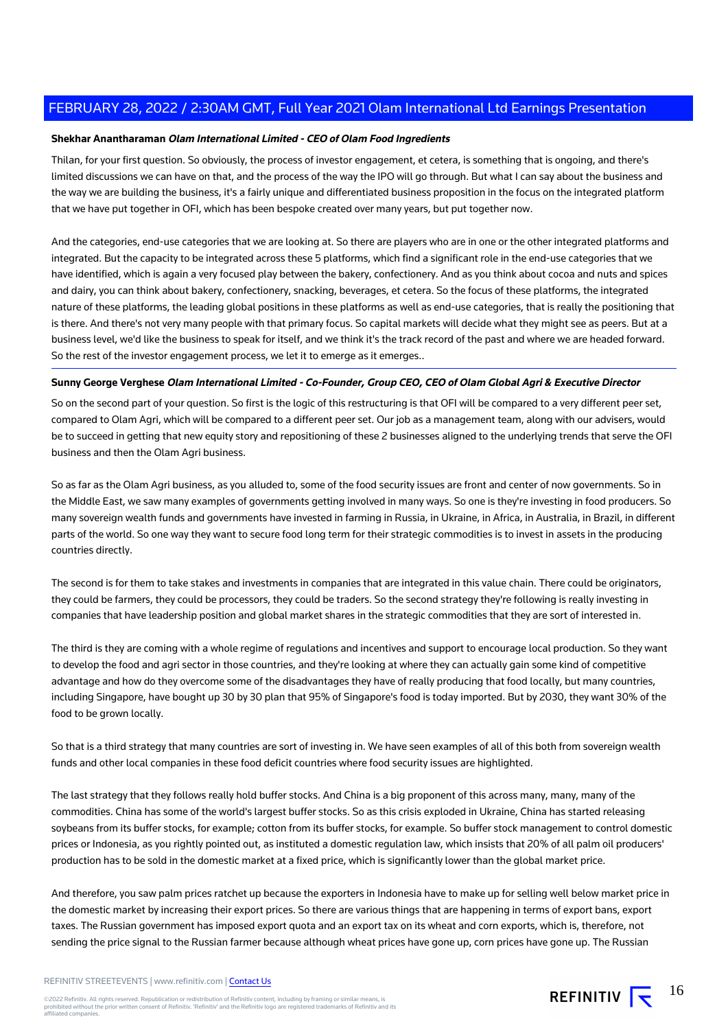#### **Shekhar Anantharaman Olam International Limited - CEO of Olam Food Ingredients**

Thilan, for your first question. So obviously, the process of investor engagement, et cetera, is something that is ongoing, and there's limited discussions we can have on that, and the process of the way the IPO will go through. But what I can say about the business and the way we are building the business, it's a fairly unique and differentiated business proposition in the focus on the integrated platform that we have put together in OFI, which has been bespoke created over many years, but put together now.

And the categories, end-use categories that we are looking at. So there are players who are in one or the other integrated platforms and integrated. But the capacity to be integrated across these 5 platforms, which find a significant role in the end-use categories that we have identified, which is again a very focused play between the bakery, confectionery. And as you think about cocoa and nuts and spices and dairy, you can think about bakery, confectionery, snacking, beverages, et cetera. So the focus of these platforms, the integrated nature of these platforms, the leading global positions in these platforms as well as end-use categories, that is really the positioning that is there. And there's not very many people with that primary focus. So capital markets will decide what they might see as peers. But at a business level, we'd like the business to speak for itself, and we think it's the track record of the past and where we are headed forward. So the rest of the investor engagement process, we let it to emerge as it emerges..

## **Sunny George Verghese Olam International Limited - Co-Founder, Group CEO, CEO of Olam Global Agri & Executive Director**

So on the second part of your question. So first is the logic of this restructuring is that OFI will be compared to a very different peer set, compared to Olam Agri, which will be compared to a different peer set. Our job as a management team, along with our advisers, would be to succeed in getting that new equity story and repositioning of these 2 businesses aligned to the underlying trends that serve the OFI business and then the Olam Agri business.

So as far as the Olam Agri business, as you alluded to, some of the food security issues are front and center of now governments. So in the Middle East, we saw many examples of governments getting involved in many ways. So one is they're investing in food producers. So many sovereign wealth funds and governments have invested in farming in Russia, in Ukraine, in Africa, in Australia, in Brazil, in different parts of the world. So one way they want to secure food long term for their strategic commodities is to invest in assets in the producing countries directly.

The second is for them to take stakes and investments in companies that are integrated in this value chain. There could be originators, they could be farmers, they could be processors, they could be traders. So the second strategy they're following is really investing in companies that have leadership position and global market shares in the strategic commodities that they are sort of interested in.

The third is they are coming with a whole regime of regulations and incentives and support to encourage local production. So they want to develop the food and agri sector in those countries, and they're looking at where they can actually gain some kind of competitive advantage and how do they overcome some of the disadvantages they have of really producing that food locally, but many countries, including Singapore, have bought up 30 by 30 plan that 95% of Singapore's food is today imported. But by 2030, they want 30% of the food to be grown locally.

So that is a third strategy that many countries are sort of investing in. We have seen examples of all of this both from sovereign wealth funds and other local companies in these food deficit countries where food security issues are highlighted.

The last strategy that they follows really hold buffer stocks. And China is a big proponent of this across many, many, many of the commodities. China has some of the world's largest buffer stocks. So as this crisis exploded in Ukraine, China has started releasing soybeans from its buffer stocks, for example; cotton from its buffer stocks, for example. So buffer stock management to control domestic prices or Indonesia, as you rightly pointed out, as instituted a domestic regulation law, which insists that 20% of all palm oil producers' production has to be sold in the domestic market at a fixed price, which is significantly lower than the global market price.

And therefore, you saw palm prices ratchet up because the exporters in Indonesia have to make up for selling well below market price in the domestic market by increasing their export prices. So there are various things that are happening in terms of export bans, export taxes. The Russian government has imposed export quota and an export tax on its wheat and corn exports, which is, therefore, not sending the price signal to the Russian farmer because although wheat prices have gone up, corn prices have gone up. The Russian

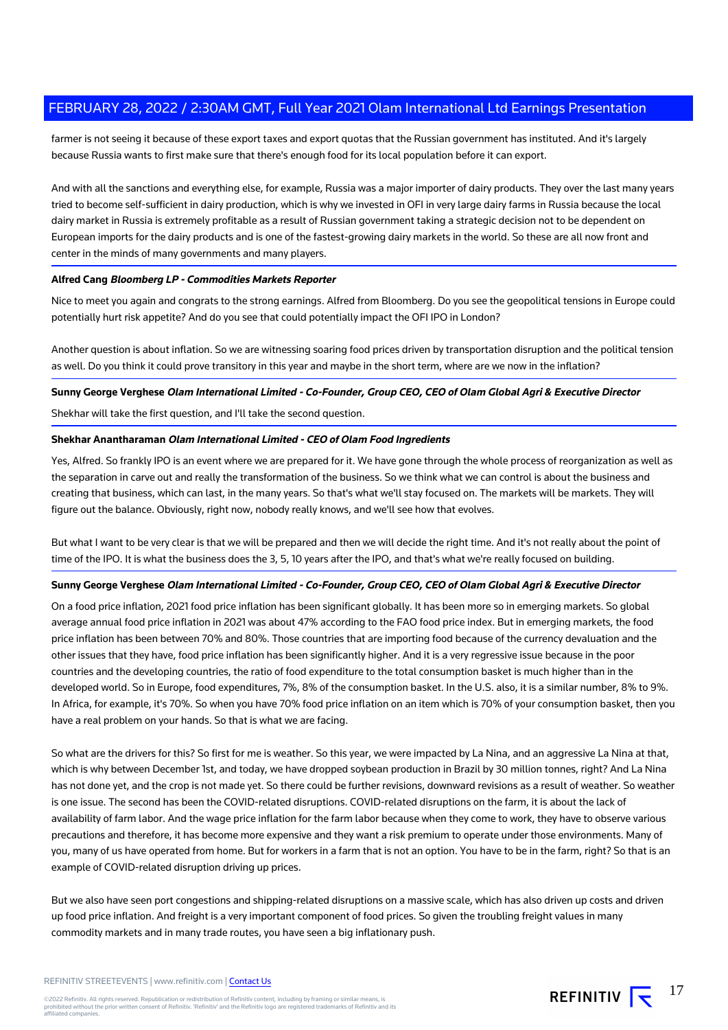farmer is not seeing it because of these export taxes and export quotas that the Russian government has instituted. And it's largely because Russia wants to first make sure that there's enough food for its local population before it can export.

And with all the sanctions and everything else, for example, Russia was a major importer of dairy products. They over the last many years tried to become self-sufficient in dairy production, which is why we invested in OFI in very large dairy farms in Russia because the local dairy market in Russia is extremely profitable as a result of Russian government taking a strategic decision not to be dependent on European imports for the dairy products and is one of the fastest-growing dairy markets in the world. So these are all now front and center in the minds of many governments and many players.

#### **Alfred Cang Bloomberg LP - Commodities Markets Reporter**

Nice to meet you again and congrats to the strong earnings. Alfred from Bloomberg. Do you see the geopolitical tensions in Europe could potentially hurt risk appetite? And do you see that could potentially impact the OFI IPO in London?

Another question is about inflation. So we are witnessing soaring food prices driven by transportation disruption and the political tension as well. Do you think it could prove transitory in this year and maybe in the short term, where are we now in the inflation?

**Sunny George Verghese Olam International Limited - Co-Founder, Group CEO, CEO of Olam Global Agri & Executive Director**

Shekhar will take the first question, and I'll take the second question.

#### **Shekhar Anantharaman Olam International Limited - CEO of Olam Food Ingredients**

Yes, Alfred. So frankly IPO is an event where we are prepared for it. We have gone through the whole process of reorganization as well as the separation in carve out and really the transformation of the business. So we think what we can control is about the business and creating that business, which can last, in the many years. So that's what we'll stay focused on. The markets will be markets. They will figure out the balance. Obviously, right now, nobody really knows, and we'll see how that evolves.

But what I want to be very clear is that we will be prepared and then we will decide the right time. And it's not really about the point of time of the IPO. It is what the business does the 3, 5, 10 years after the IPO, and that's what we're really focused on building.

#### **Sunny George Verghese Olam International Limited - Co-Founder, Group CEO, CEO of Olam Global Agri & Executive Director**

On a food price inflation, 2021 food price inflation has been significant globally. It has been more so in emerging markets. So global average annual food price inflation in 2021 was about 47% according to the FAO food price index. But in emerging markets, the food price inflation has been between 70% and 80%. Those countries that are importing food because of the currency devaluation and the other issues that they have, food price inflation has been significantly higher. And it is a very regressive issue because in the poor countries and the developing countries, the ratio of food expenditure to the total consumption basket is much higher than in the developed world. So in Europe, food expenditures, 7%, 8% of the consumption basket. In the U.S. also, it is a similar number, 8% to 9%. In Africa, for example, it's 70%. So when you have 70% food price inflation on an item which is 70% of your consumption basket, then you have a real problem on your hands. So that is what we are facing.

So what are the drivers for this? So first for me is weather. So this year, we were impacted by La Nina, and an aggressive La Nina at that, which is why between December 1st, and today, we have dropped soybean production in Brazil by 30 million tonnes, right? And La Nina has not done yet, and the crop is not made yet. So there could be further revisions, downward revisions as a result of weather. So weather is one issue. The second has been the COVID-related disruptions. COVID-related disruptions on the farm, it is about the lack of availability of farm labor. And the wage price inflation for the farm labor because when they come to work, they have to observe various precautions and therefore, it has become more expensive and they want a risk premium to operate under those environments. Many of you, many of us have operated from home. But for workers in a farm that is not an option. You have to be in the farm, right? So that is an example of COVID-related disruption driving up prices.

But we also have seen port congestions and shipping-related disruptions on a massive scale, which has also driven up costs and driven up food price inflation. And freight is a very important component of food prices. So given the troubling freight values in many commodity markets and in many trade routes, you have seen a big inflationary push.

REFINITIV STREETEVENTS | www.refinitiv.com | [Contact Us](https://www.refinitiv.com/en/contact-us)

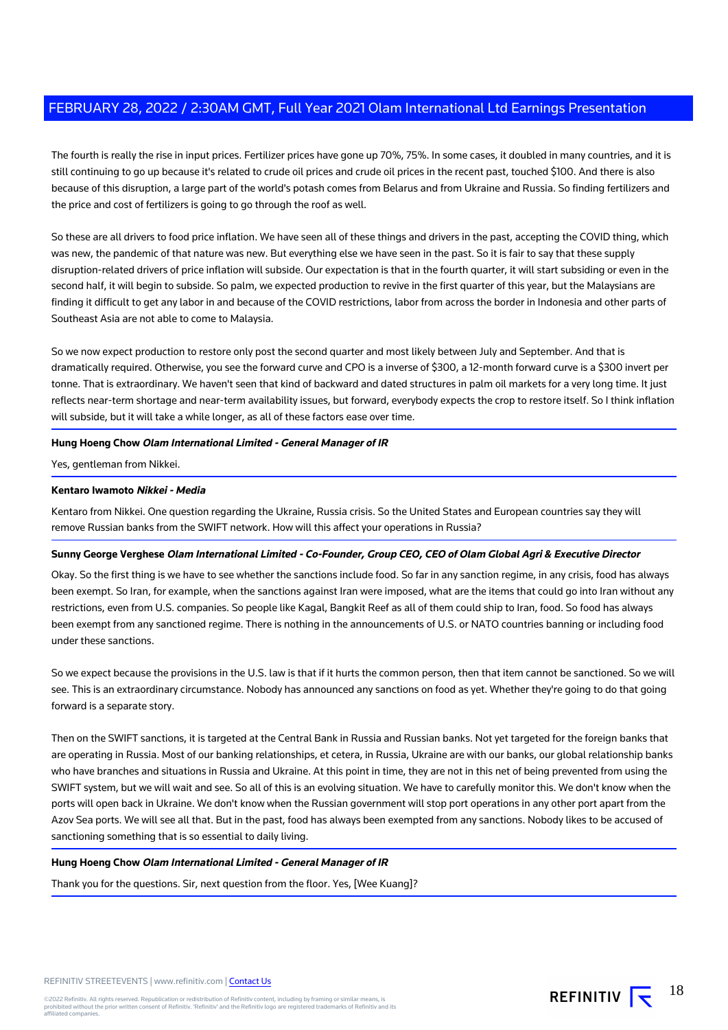The fourth is really the rise in input prices. Fertilizer prices have gone up 70%, 75%. In some cases, it doubled in many countries, and it is still continuing to go up because it's related to crude oil prices and crude oil prices in the recent past, touched \$100. And there is also because of this disruption, a large part of the world's potash comes from Belarus and from Ukraine and Russia. So finding fertilizers and the price and cost of fertilizers is going to go through the roof as well.

So these are all drivers to food price inflation. We have seen all of these things and drivers in the past, accepting the COVID thing, which was new, the pandemic of that nature was new. But everything else we have seen in the past. So it is fair to say that these supply disruption-related drivers of price inflation will subside. Our expectation is that in the fourth quarter, it will start subsiding or even in the second half, it will begin to subside. So palm, we expected production to revive in the first quarter of this year, but the Malaysians are finding it difficult to get any labor in and because of the COVID restrictions, labor from across the border in Indonesia and other parts of Southeast Asia are not able to come to Malaysia.

So we now expect production to restore only post the second quarter and most likely between July and September. And that is dramatically required. Otherwise, you see the forward curve and CPO is a inverse of \$300, a 12-month forward curve is a \$300 invert per tonne. That is extraordinary. We haven't seen that kind of backward and dated structures in palm oil markets for a very long time. It just reflects near-term shortage and near-term availability issues, but forward, everybody expects the crop to restore itself. So I think inflation will subside, but it will take a while longer, as all of these factors ease over time.

#### **Hung Hoeng Chow Olam International Limited - General Manager of IR**

Yes, gentleman from Nikkei.

#### **Kentaro Iwamoto Nikkei - Media**

Kentaro from Nikkei. One question regarding the Ukraine, Russia crisis. So the United States and European countries say they will remove Russian banks from the SWIFT network. How will this affect your operations in Russia?

#### **Sunny George Verghese Olam International Limited - Co-Founder, Group CEO, CEO of Olam Global Agri & Executive Director**

Okay. So the first thing is we have to see whether the sanctions include food. So far in any sanction regime, in any crisis, food has always been exempt. So Iran, for example, when the sanctions against Iran were imposed, what are the items that could go into Iran without any restrictions, even from U.S. companies. So people like Kagal, Bangkit Reef as all of them could ship to Iran, food. So food has always been exempt from any sanctioned regime. There is nothing in the announcements of U.S. or NATO countries banning or including food under these sanctions.

So we expect because the provisions in the U.S. law is that if it hurts the common person, then that item cannot be sanctioned. So we will see. This is an extraordinary circumstance. Nobody has announced any sanctions on food as yet. Whether they're going to do that going forward is a separate story.

Then on the SWIFT sanctions, it is targeted at the Central Bank in Russia and Russian banks. Not yet targeted for the foreign banks that are operating in Russia. Most of our banking relationships, et cetera, in Russia, Ukraine are with our banks, our global relationship banks who have branches and situations in Russia and Ukraine. At this point in time, they are not in this net of being prevented from using the SWIFT system, but we will wait and see. So all of this is an evolving situation. We have to carefully monitor this. We don't know when the ports will open back in Ukraine. We don't know when the Russian government will stop port operations in any other port apart from the Azov Sea ports. We will see all that. But in the past, food has always been exempted from any sanctions. Nobody likes to be accused of sanctioning something that is so essential to daily living.

#### **Hung Hoeng Chow Olam International Limited - General Manager of IR**

Thank you for the questions. Sir, next question from the floor. Yes, [Wee Kuang]?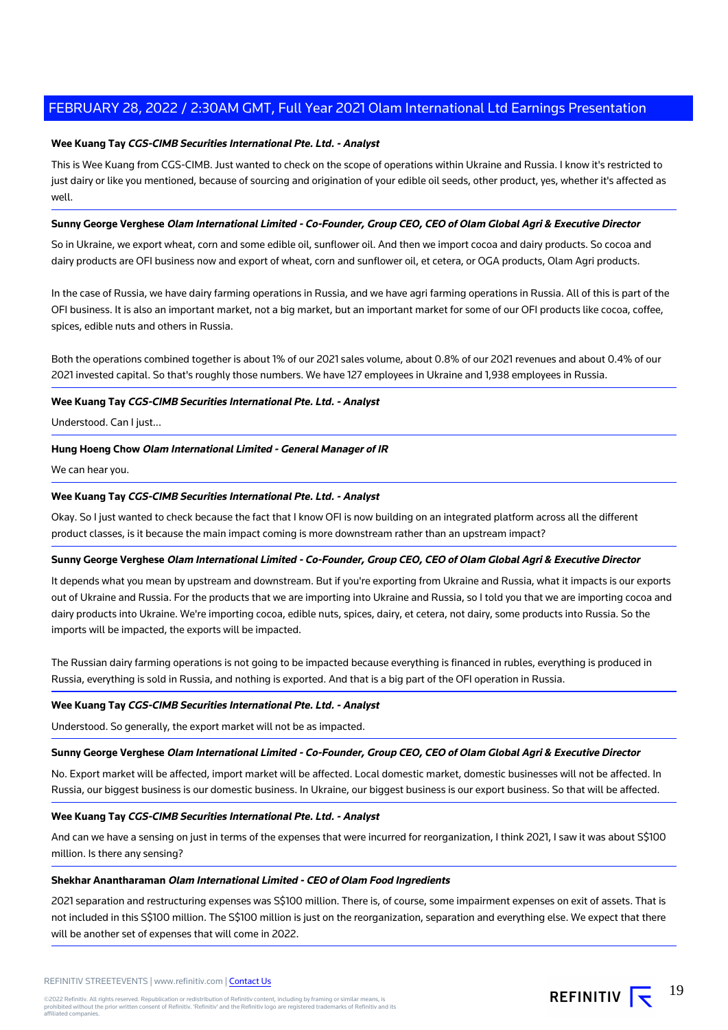#### **Wee Kuang Tay CGS-CIMB Securities International Pte. Ltd. - Analyst**

This is Wee Kuang from CGS-CIMB. Just wanted to check on the scope of operations within Ukraine and Russia. I know it's restricted to just dairy or like you mentioned, because of sourcing and origination of your edible oil seeds, other product, yes, whether it's affected as well.

#### **Sunny George Verghese Olam International Limited - Co-Founder, Group CEO, CEO of Olam Global Agri & Executive Director**

So in Ukraine, we export wheat, corn and some edible oil, sunflower oil. And then we import cocoa and dairy products. So cocoa and dairy products are OFI business now and export of wheat, corn and sunflower oil, et cetera, or OGA products, Olam Agri products.

In the case of Russia, we have dairy farming operations in Russia, and we have agri farming operations in Russia. All of this is part of the OFI business. It is also an important market, not a big market, but an important market for some of our OFI products like cocoa, coffee, spices, edible nuts and others in Russia.

Both the operations combined together is about 1% of our 2021 sales volume, about 0.8% of our 2021 revenues and about 0.4% of our 2021 invested capital. So that's roughly those numbers. We have 127 employees in Ukraine and 1,938 employees in Russia.

#### **Wee Kuang Tay CGS-CIMB Securities International Pte. Ltd. - Analyst**

Understood. Can I just...

#### **Hung Hoeng Chow Olam International Limited - General Manager of IR**

We can hear you.

#### **Wee Kuang Tay CGS-CIMB Securities International Pte. Ltd. - Analyst**

Okay. So I just wanted to check because the fact that I know OFI is now building on an integrated platform across all the different product classes, is it because the main impact coming is more downstream rather than an upstream impact?

#### **Sunny George Verghese Olam International Limited - Co-Founder, Group CEO, CEO of Olam Global Agri & Executive Director**

It depends what you mean by upstream and downstream. But if you're exporting from Ukraine and Russia, what it impacts is our exports out of Ukraine and Russia. For the products that we are importing into Ukraine and Russia, so I told you that we are importing cocoa and dairy products into Ukraine. We're importing cocoa, edible nuts, spices, dairy, et cetera, not dairy, some products into Russia. So the imports will be impacted, the exports will be impacted.

The Russian dairy farming operations is not going to be impacted because everything is financed in rubles, everything is produced in Russia, everything is sold in Russia, and nothing is exported. And that is a big part of the OFI operation in Russia.

#### **Wee Kuang Tay CGS-CIMB Securities International Pte. Ltd. - Analyst**

Understood. So generally, the export market will not be as impacted.

#### **Sunny George Verghese Olam International Limited - Co-Founder, Group CEO, CEO of Olam Global Agri & Executive Director**

No. Export market will be affected, import market will be affected. Local domestic market, domestic businesses will not be affected. In Russia, our biggest business is our domestic business. In Ukraine, our biggest business is our export business. So that will be affected.

#### **Wee Kuang Tay CGS-CIMB Securities International Pte. Ltd. - Analyst**

And can we have a sensing on just in terms of the expenses that were incurred for reorganization, I think 2021, I saw it was about S\$100 million. Is there any sensing?

## **Shekhar Anantharaman Olam International Limited - CEO of Olam Food Ingredients**

2021 separation and restructuring expenses was S\$100 million. There is, of course, some impairment expenses on exit of assets. That is not included in this S\$100 million. The S\$100 million is just on the reorganization, separation and everything else. We expect that there will be another set of expenses that will come in 2022.

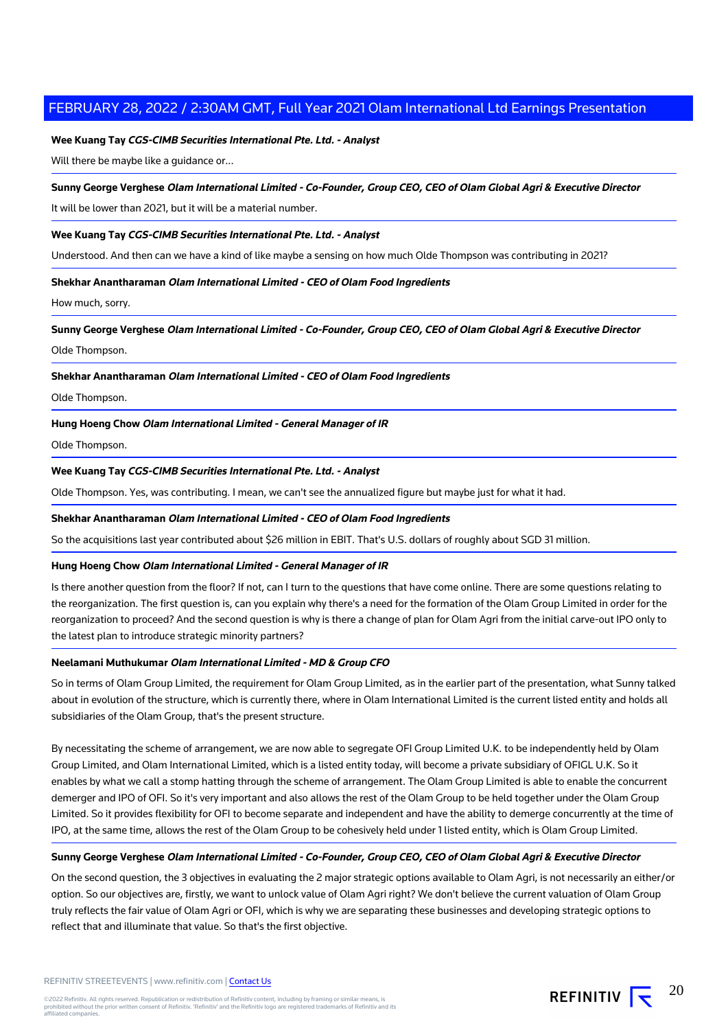#### **Wee Kuang Tay CGS-CIMB Securities International Pte. Ltd. - Analyst**

Will there be maybe like a guidance or...

#### **Sunny George Verghese Olam International Limited - Co-Founder, Group CEO, CEO of Olam Global Agri & Executive Director**

It will be lower than 2021, but it will be a material number.

#### **Wee Kuang Tay CGS-CIMB Securities International Pte. Ltd. - Analyst**

Understood. And then can we have a kind of like maybe a sensing on how much Olde Thompson was contributing in 2021?

#### **Shekhar Anantharaman Olam International Limited - CEO of Olam Food Ingredients**

How much, sorry.

**Sunny George Verghese Olam International Limited - Co-Founder, Group CEO, CEO of Olam Global Agri & Executive Director**

Olde Thompson.

#### **Shekhar Anantharaman Olam International Limited - CEO of Olam Food Ingredients**

Olde Thompson.

#### **Hung Hoeng Chow Olam International Limited - General Manager of IR**

Olde Thompson.

#### **Wee Kuang Tay CGS-CIMB Securities International Pte. Ltd. - Analyst**

Olde Thompson. Yes, was contributing. I mean, we can't see the annualized figure but maybe just for what it had.

#### **Shekhar Anantharaman Olam International Limited - CEO of Olam Food Ingredients**

So the acquisitions last year contributed about \$26 million in EBIT. That's U.S. dollars of roughly about SGD 31 million.

#### **Hung Hoeng Chow Olam International Limited - General Manager of IR**

Is there another question from the floor? If not, can I turn to the questions that have come online. There are some questions relating to the reorganization. The first question is, can you explain why there's a need for the formation of the Olam Group Limited in order for the reorganization to proceed? And the second question is why is there a change of plan for Olam Agri from the initial carve-out IPO only to the latest plan to introduce strategic minority partners?

#### **Neelamani Muthukumar Olam International Limited - MD & Group CFO**

So in terms of Olam Group Limited, the requirement for Olam Group Limited, as in the earlier part of the presentation, what Sunny talked about in evolution of the structure, which is currently there, where in Olam International Limited is the current listed entity and holds all subsidiaries of the Olam Group, that's the present structure.

By necessitating the scheme of arrangement, we are now able to segregate OFI Group Limited U.K. to be independently held by Olam Group Limited, and Olam International Limited, which is a listed entity today, will become a private subsidiary of OFIGL U.K. So it enables by what we call a stomp hatting through the scheme of arrangement. The Olam Group Limited is able to enable the concurrent demerger and IPO of OFI. So it's very important and also allows the rest of the Olam Group to be held together under the Olam Group Limited. So it provides flexibility for OFI to become separate and independent and have the ability to demerge concurrently at the time of IPO, at the same time, allows the rest of the Olam Group to be cohesively held under 1 listed entity, which is Olam Group Limited.

#### **Sunny George Verghese Olam International Limited - Co-Founder, Group CEO, CEO of Olam Global Agri & Executive Director**

On the second question, the 3 objectives in evaluating the 2 major strategic options available to Olam Agri, is not necessarily an either/or option. So our objectives are, firstly, we want to unlock value of Olam Agri right? We don't believe the current valuation of Olam Group truly reflects the fair value of Olam Agri or OFI, which is why we are separating these businesses and developing strategic options to reflect that and illuminate that value. So that's the first objective.

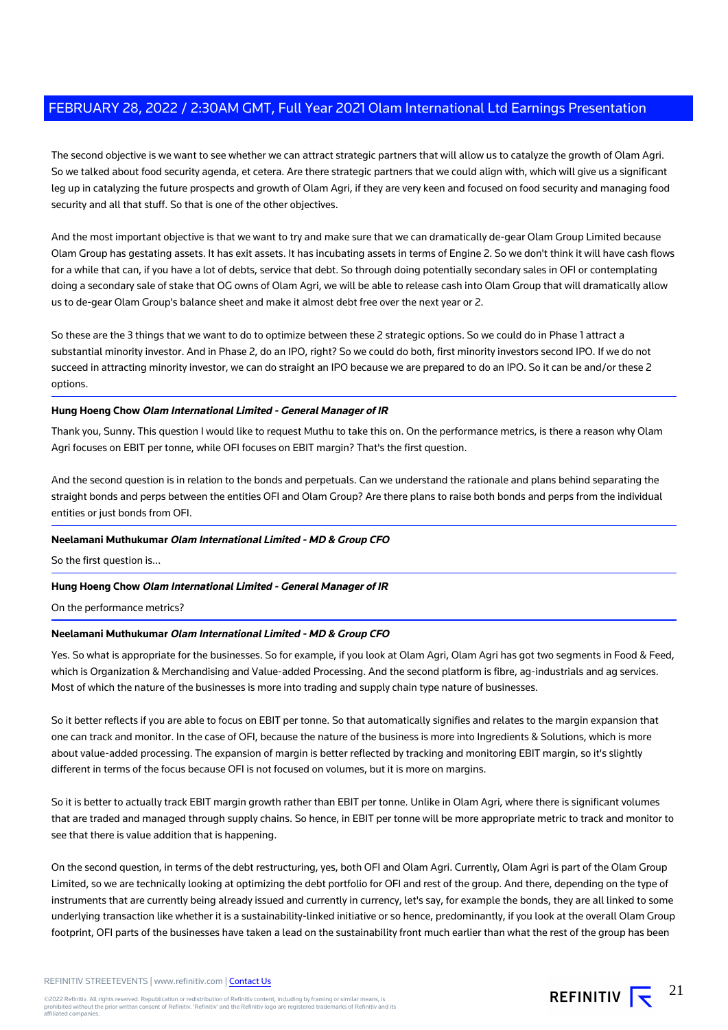The second objective is we want to see whether we can attract strategic partners that will allow us to catalyze the growth of Olam Agri. So we talked about food security agenda, et cetera. Are there strategic partners that we could align with, which will give us a significant leg up in catalyzing the future prospects and growth of Olam Agri, if they are very keen and focused on food security and managing food security and all that stuff. So that is one of the other objectives.

And the most important objective is that we want to try and make sure that we can dramatically de-gear Olam Group Limited because Olam Group has gestating assets. It has exit assets. It has incubating assets in terms of Engine 2. So we don't think it will have cash flows for a while that can, if you have a lot of debts, service that debt. So through doing potentially secondary sales in OFI or contemplating doing a secondary sale of stake that OG owns of Olam Agri, we will be able to release cash into Olam Group that will dramatically allow us to de-gear Olam Group's balance sheet and make it almost debt free over the next year or 2.

So these are the 3 things that we want to do to optimize between these 2 strategic options. So we could do in Phase 1 attract a substantial minority investor. And in Phase 2, do an IPO, right? So we could do both, first minority investors second IPO. If we do not succeed in attracting minority investor, we can do straight an IPO because we are prepared to do an IPO. So it can be and/or these 2 options.

#### **Hung Hoeng Chow Olam International Limited - General Manager of IR**

Thank you, Sunny. This question I would like to request Muthu to take this on. On the performance metrics, is there a reason why Olam Agri focuses on EBIT per tonne, while OFI focuses on EBIT margin? That's the first question.

And the second question is in relation to the bonds and perpetuals. Can we understand the rationale and plans behind separating the straight bonds and perps between the entities OFI and Olam Group? Are there plans to raise both bonds and perps from the individual entities or just bonds from OFI.

#### **Neelamani Muthukumar Olam International Limited - MD & Group CFO**

So the first question is...

#### **Hung Hoeng Chow Olam International Limited - General Manager of IR**

On the performance metrics?

#### **Neelamani Muthukumar Olam International Limited - MD & Group CFO**

Yes. So what is appropriate for the businesses. So for example, if you look at Olam Agri, Olam Agri has got two segments in Food & Feed, which is Organization & Merchandising and Value-added Processing. And the second platform is fibre, ag-industrials and ag services. Most of which the nature of the businesses is more into trading and supply chain type nature of businesses.

So it better reflects if you are able to focus on EBIT per tonne. So that automatically signifies and relates to the margin expansion that one can track and monitor. In the case of OFI, because the nature of the business is more into Ingredients & Solutions, which is more about value-added processing. The expansion of margin is better reflected by tracking and monitoring EBIT margin, so it's slightly different in terms of the focus because OFI is not focused on volumes, but it is more on margins.

So it is better to actually track EBIT margin growth rather than EBIT per tonne. Unlike in Olam Agri, where there is significant volumes that are traded and managed through supply chains. So hence, in EBIT per tonne will be more appropriate metric to track and monitor to see that there is value addition that is happening.

On the second question, in terms of the debt restructuring, yes, both OFI and Olam Agri. Currently, Olam Agri is part of the Olam Group Limited, so we are technically looking at optimizing the debt portfolio for OFI and rest of the group. And there, depending on the type of instruments that are currently being already issued and currently in currency, let's say, for example the bonds, they are all linked to some underlying transaction like whether it is a sustainability-linked initiative or so hence, predominantly, if you look at the overall Olam Group footprint, OFI parts of the businesses have taken a lead on the sustainability front much earlier than what the rest of the group has been

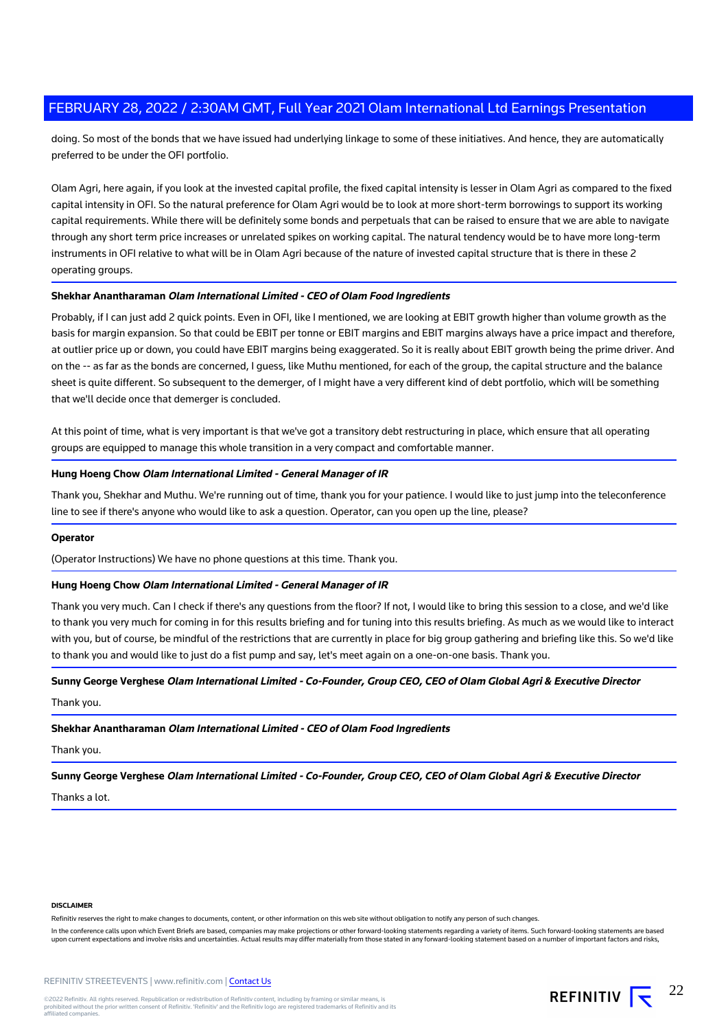doing. So most of the bonds that we have issued had underlying linkage to some of these initiatives. And hence, they are automatically preferred to be under the OFI portfolio.

Olam Agri, here again, if you look at the invested capital profile, the fixed capital intensity is lesser in Olam Agri as compared to the fixed capital intensity in OFI. So the natural preference for Olam Agri would be to look at more short-term borrowings to support its working capital requirements. While there will be definitely some bonds and perpetuals that can be raised to ensure that we are able to navigate through any short term price increases or unrelated spikes on working capital. The natural tendency would be to have more long-term instruments in OFI relative to what will be in Olam Agri because of the nature of invested capital structure that is there in these 2 operating groups.

#### **Shekhar Anantharaman Olam International Limited - CEO of Olam Food Ingredients**

Probably, if I can just add 2 quick points. Even in OFI, like I mentioned, we are looking at EBIT growth higher than volume growth as the basis for margin expansion. So that could be EBIT per tonne or EBIT margins and EBIT margins always have a price impact and therefore, at outlier price up or down, you could have EBIT margins being exaggerated. So it is really about EBIT growth being the prime driver. And on the -- as far as the bonds are concerned, I guess, like Muthu mentioned, for each of the group, the capital structure and the balance sheet is quite different. So subsequent to the demerger, of I might have a very different kind of debt portfolio, which will be something that we'll decide once that demerger is concluded.

At this point of time, what is very important is that we've got a transitory debt restructuring in place, which ensure that all operating groups are equipped to manage this whole transition in a very compact and comfortable manner.

#### **Hung Hoeng Chow Olam International Limited - General Manager of IR**

Thank you, Shekhar and Muthu. We're running out of time, thank you for your patience. I would like to just jump into the teleconference line to see if there's anyone who would like to ask a question. Operator, can you open up the line, please?

#### **Operator**

(Operator Instructions) We have no phone questions at this time. Thank you.

#### **Hung Hoeng Chow Olam International Limited - General Manager of IR**

Thank you very much. Can I check if there's any questions from the floor? If not, I would like to bring this session to a close, and we'd like to thank you very much for coming in for this results briefing and for tuning into this results briefing. As much as we would like to interact with you, but of course, be mindful of the restrictions that are currently in place for big group gathering and briefing like this. So we'd like to thank you and would like to just do a fist pump and say, let's meet again on a one-on-one basis. Thank you.

#### **Sunny George Verghese Olam International Limited - Co-Founder, Group CEO, CEO of Olam Global Agri & Executive Director**

Thank you.

## **Shekhar Anantharaman Olam International Limited - CEO of Olam Food Ingredients**

#### Thank you.

**Sunny George Verghese Olam International Limited - Co-Founder, Group CEO, CEO of Olam Global Agri & Executive Director**

Thanks a lot.

#### **DISCLAIMER**

Refinitiv reserves the right to make changes to documents, content, or other information on this web site without obligation to notify any person of such changes

In the conference calls upon which Event Briefs are based, companies may make projections or other forward-looking statements regarding a variety of items. Such forward-looking statements are based upon current expectations and involve risks and uncertainties. Actual results may differ materially from those stated in any forward-looking statement based on a number of important factors and risks,